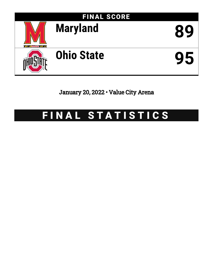

January 20, 2022 • Value City Arena

# FINAL STATISTICS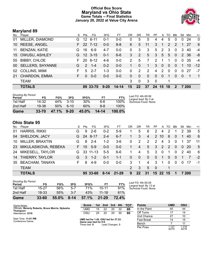### **Official Box Score Maryland vs Ohio State Game Totals -- Final Statistics January 20, 2022 at Value City Arena**



# **Maryland 89**

| No. | Plaver                  | S. | Pts           | FG.       | 3FG      | FT        | OR             | DR              | TR       | PF             | A        | TO.           | <b>B</b> lk    | Stl          | Min   | $+/-$          |
|-----|-------------------------|----|---------------|-----------|----------|-----------|----------------|-----------------|----------|----------------|----------|---------------|----------------|--------------|-------|----------------|
| 01  | MILLER, DIAMOND         | G. | 12            | $6 - 11$  | $0 - 1$  | $0 - 0$   | 0              | 5               | 5        | 4              | 4        | 5             | $\Omega$       | 0            | 24    | $\Omega$       |
| 10  | <b>REESE, ANGEL</b>     | F. | 22            | $7 - 12$  | $0 - 0$  | $8 - 8$   | 6              | 5               | 11       | 3              | 1        | $\mathcal{P}$ | $\mathcal{P}$  | 1            | 27    | 6              |
| 11  | <b>BENZAN, KATIE</b>    | G. | 16            | $6-9$     | $4 - 7$  | $0 - 0$   | $\Omega$       | 3               | 3        | 5              | 2        | 3             | 0              | 3            | 40    | $-4$           |
|     | 15 OWUSU, ASHLEY        | G. |               | $12$ 3-15 | $0 - 1$  | $6 - 6$   | 3              | 2               | 5        | 3              | 5        | 5             | $\overline{0}$ | 2            | -36   | -8             |
| 55  | <b>BIBBY, CHLOE</b>     | F. | 20            | $8 - 12$  | $4-6$    | $0 - 0$   | $\overline{2}$ | 5               | 7        | $\overline{2}$ | 1        |               | $\Omega$       | $\mathbf{0}$ | 35    | $-4$           |
| 00  | <b>SELLERS, SHYANNE</b> | G  | $\mathcal{P}$ | $1 - 4$   | $0 - 2$  | $0 - 0$   | 1              | $\Omega$        | 1        | 3              | $\Omega$ | $\Omega$      | $\Omega$       | $\mathbf 1$  | 10    | $-12$          |
| 02  | <b>COLLINS, MIMI</b>    | F. | 5             | $2 - 7$   | $1 - 3$  | $0 - 0$   | $\Omega$       | 2               | 2        | 4              | 2        | $\Omega$      | $\Omega$       | $\Omega$     | 27    | $-7$           |
| 21  | CHARDON, EMMA           | F. | $\Omega$      | $0 - 0$   | $0 - 0$  | $0 - 0$   | $\Omega$       | $\Omega$        | $\Omega$ | $\Omega$       | $\Omega$ | 1             | $\Omega$       | $\Omega$     | -1    | $\overline{1}$ |
|     | <b>TEAM</b>             |    |               |           |          |           | 3              | 0               | 3        | $\mathbf 0$    |          | 1             |                |              |       |                |
|     | <b>TOTALS</b>           |    |               | 89 33-70  | $9 - 20$ | $14 - 14$ | 15             | 22 <sub>2</sub> | 37       | -24            | 15       | 18            | $\mathbf{2}$   |              | 7 200 |                |
|     |                         |    |               |           |          |           |                |                 |          |                |          |               |                |              |       |                |

| <b>Shooting By Period</b> |           |       |          |          |           |           |                                             |
|---------------------------|-----------|-------|----------|----------|-----------|-----------|---------------------------------------------|
| Period                    | FG        | FG%   | 3FG      | 3FG%     | FT        | FT%       | Last FG: 4th-00:08<br>Largest lead: By 3 at |
| 1st Half                  | 14-32     | 44%   | $3 - 10$ | 30%      | 6-6       | 100%      | Technical Fouls: None.                      |
| 2nd Half                  | 19-38     | 50%   | $6-10$   | 60%      | $8 - 8$   | 100%      |                                             |
| Game                      | $33 - 70$ | 47.1% | $9 - 20$ | $45.0\%$ | $14 - 14$ | $100.0\%$ |                                             |

# **Ohio State 95**

| No. | Plaver                  | S. | Pts | FG       | 3FG     | FT        | OR          | DR             | TR             | PF.            | A          | TO.           | Blk      | Stl                  | Min   | $+/-$ |
|-----|-------------------------|----|-----|----------|---------|-----------|-------------|----------------|----------------|----------------|------------|---------------|----------|----------------------|-------|-------|
| 01  | <b>HARRIS, RIKKI</b>    | G  | 9   | $2 - 6$  | $0 - 2$ | $5-9$     | $\mathbf 1$ | 5              | 6              | $\overline{2}$ | 4          | 2             |          | $\mathbf{2}^{\circ}$ | -39   | 5     |
| 04  | <b>SHELDON, JACY</b>    | G. | 24  | 8-17     | $2 - 4$ | $6 - 7$   |             | 3              | $\overline{4}$ | 2              | 10         | 6             | $\Omega$ | 1                    | 40    | 6     |
| 10  | MILLER, BRAXTIN         | G  | 8   | $2 - 4$  | $1 - 2$ | $3-6$     | 0           | 2              | 2              | 2              | 4          | -3            | $\Omega$ |                      | 37    | 11    |
|     | 23 MIKULASIKOVA, REBEKA | F. | 10  | $5-9$    | $0 - 0$ | $0 - 0$   | 1.          | $\overline{4}$ | 5              | 3              | $\sqrt{2}$ | $\mathcal{P}$ | $\Omega$ | $\Omega$             | -20   | 5     |
| 24  | MIKESELL, TAYLOR        | G. |     | 33 11-13 | $5-5$   | $6 - 6$   | 1           | 4              | 5              | 3              | $\Omega$   |               | $\Omega$ | $\mathcal{P}$        | 40    | 6     |
|     | 14 THIERRY, TAYLOR      | G. | 3   | $1 - 2$  | $0 - 1$ | $1 - 1$   | $\Omega$    | $\Omega$       | $\mathbf{0}$   | $\Omega$       | 1          | $\Omega$      | $\Omega$ |                      |       | $-2$  |
| 35  | <b>BEACHAM, TANAYA</b>  | F. | 8   | 4-9      | $0 - 0$ | $0-0$     | 3           |                | 4              | 3              | 1          | 0             | $\Omega$ | $\Omega$             | -17   | -1    |
|     | <b>TEAM</b>             |    |     |          |         |           |             | 3              | 5              | - 0            |            | 1             |          |                      |       |       |
|     | <b>TOTALS</b>           |    |     | 95 33-60 | $8-14$  | $21 - 29$ | 9           | 22             | 31             |                | 15 22 15   |               |          |                      | 7 200 |       |

| Game                                | 33-60 | 55.0% | $8 - 14$ | 57.1% | $21 - 29$ | 72.4% |   |
|-------------------------------------|-------|-------|----------|-------|-----------|-------|---|
| 2nd Half                            | 18-33 | 55%   | $3 - 7$  | 43%   | $11 - 18$ | 61%   |   |
| 1st Half                            | 15-27 | 56%   | $5 - 7$  | 71%   | $10 - 11$ | 91%   | т |
| <b>Shooting By Period</b><br>Period | FG    | FG%   | 3FG      | 3FG%  | FT        | FT%   |   |

*Last FG:* 4th-00:29 *Largest lead:* By 13 at *Technical Fouls:* None.

| Game Notes:                                       | <b>Score</b>                                   | 1st | 2nd             | 3rd | 4th | <b>TOT</b> | <b>Points</b>     | <b>UMD</b>     | OSU            |
|---------------------------------------------------|------------------------------------------------|-----|-----------------|-----|-----|------------|-------------------|----------------|----------------|
| Officials: Beverly Roberts, Bruce Morris, Nykesha | UMD                                            | 15  | 22              | 20  | 32  | 89         | In the Paint      | 40             | 44             |
| <b>Thompson</b><br>Attendance: 3319               | osu                                            | 25  | 20              | 20  | 30  | 95         | Off Turns         |                | 14             |
|                                                   |                                                |     |                 |     |     |            | 2nd Chance        | 27             | 10             |
| Start Time: 11:01 PM<br>Conference Game:          | UMD led for 1:45, OSU led for 37:23.           |     |                 |     |     |            | <b>Fast Break</b> | 14             | 15             |
|                                                   | Game was tied for 0:0.<br>Times tied: <b>0</b> |     | Lead Changes: 3 |     |     |            | Bench             |                | 11             |
|                                                   |                                                |     |                 |     |     |            | Per Poss          | 1.127<br>40/79 | 1.218<br>44/78 |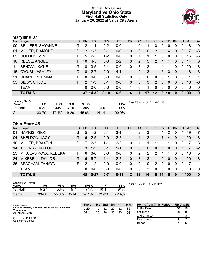### **Official Box Score Maryland vs Ohio State First Half Statistics Only January 20, 2022 at Value City Arena**



# **Maryland 37**

| No.             | Player                  | S. | <b>Pts</b>    | <b>FG</b> | 3FG      | <b>FT</b> | OR       | <b>DR</b>   | <b>TR</b>    | <b>PF</b>     |          | A TO     | <b>Blk</b> | Stl      | Min        | $+/-$          |
|-----------------|-------------------------|----|---------------|-----------|----------|-----------|----------|-------------|--------------|---------------|----------|----------|------------|----------|------------|----------------|
| 00 <sup>1</sup> | <b>SELLERS, SHYANNE</b> | G  | 2             | $1 - 4$   | $0 - 2$  | $0 - 0$   |          | 0           |              | 3             | 0        | 0        | 0          | 0        | 8          | -10            |
| 01              | MILLER, DIAMOND         | G  | 2             | $1 - 3$   | $0 - 1$  | $0 - 0$   | 0        | $\mathbf 0$ | $\mathbf{0}$ | 2             |          | 4        | $\Omega$   | 0        |            | -3             |
| 02              | <b>COLLINS, MIMI</b>    | F  | 5             | $2 - 5$   | $1 - 2$  | $0 - 0$   | 0        | 1           |              | 1             | 0        | 0        | $\Omega$   | 0        | 16         | -6             |
| 10              | <b>REESE, ANGEL</b>     | F. | 10            | $4-5$     | $0 - 0$  | $2 - 2$   | 3        | 2           | 5            | 2             |          | 1        | $\Omega$   | $\Omega$ | 14         | $\overline{0}$ |
| 11              | <b>BENZAN, KATIE</b>    | G  | 8             | $3-5$     | $2 - 4$  | $0-0$     | $\Omega$ | 3           | 3            |               | 1        | 1        | $\Omega$   | 2        | 20         | -8             |
| 15 <sup>1</sup> | OWUSU, ASHLEY           | G  | 8             | $2 - 7$   | $0 - 0$  | $4 - 4$   |          | 2           | 3            | $\mathbf{1}$  | 3        | 3        | 0          |          | 18         | -8             |
| 21              | CHARDON, EMMA           | F  | 0             | $0 - 0$   | $0 - 0$  | $0-0$     | 0        | 0           | $\Omega$     | $\Omega$      | $\Omega$ | 1        | $\Omega$   | $\Omega$ | 1          | $\mathbf 1$    |
| 55              | <b>BIBBY, CHLOE</b>     | F. | $\mathcal{P}$ | $1 - 3$   | $0 - 1$  | $0 - 0$   | $\Omega$ | 3           | 3            | $\mathcal{P}$ | $\Omega$ | 0        | $\Omega$   | 0        | 16         | -6             |
|                 | <b>TEAM</b>             |    | $\Omega$      | $0 - 0$   | $0 - 0$  | $0 - 0$   |          | 0           |              | $\Omega$      | $\Omega$ | $\Omega$ | $\Omega$   | 0        | 0          | 0              |
|                 | <b>TOTALS</b>           |    | 37            | 14-32     | $3 - 10$ | $6 - 6$   | 6        | 11          | 17           | 12            | 6        | 10       | 0          | 3        | <b>100</b> | $\mathbf{0}$   |

| <b>Shooting By Period</b><br>Period | FG        | FG%   | 3FG      | 3FG%  | FТ        | FT%    | Last FG Half: UMD 2nd-02:28 |
|-------------------------------------|-----------|-------|----------|-------|-----------|--------|-----------------------------|
| 1st Half                            | 14-32     | 44%   | $3-10$   | 30%   | հ-հ       | 100%   |                             |
| Game                                | $33 - 70$ | 47.1% | $9 - 20$ | 45.0% | $14 - 14$ | 100.0% |                             |

# **Ohio State 45**

| No. | Player                 | S  | <b>Pts</b>    | FG.      | 3FG     | <b>FT</b> | OR            | <b>DR</b>    | TR       | <b>PF</b>      | A            | TO       | <b>BIK</b> | Stl      | Min | $+/-$        |
|-----|------------------------|----|---------------|----------|---------|-----------|---------------|--------------|----------|----------------|--------------|----------|------------|----------|-----|--------------|
| 01  | <b>HARRIS, RIKKI</b>   | G  | 5             | $1 - 2$  | 0-1     | 3-4       |               | 2            | 3        |                |              | 2        |            |          | 19  | 7            |
| 04  | SHELDON, JACY          | G  | 6             | $2 - 5$  | 0-0     | $2 - 2$   |               |              | 2        | 1              |              | 4        | $\Omega$   |          | 20  | 8            |
| 10  | MILLER, BRAXTIN        | G  |               | $2 - 3$  | 1-1     | $2 - 2$   | 0             |              |          |                |              |          | $\Omega$   | 0        |     | 13           |
| 14  | THIERRY, TAYLOR        | G. | 3             | $1 - 2$  | $0 - 1$ | $1 - 1$   | $\Omega$      | $\mathbf{0}$ | $\Omega$ | $\Omega$       | -1           | 0        | $\Omega$   |          |     | $-2$         |
| 23  | MIKULASIKOVA, REBEKA   | F  | 6             | $3-6$    | $0 - 0$ | $0 - 0$   | 0             | 2            | 2        | $\mathcal{P}$  |              | 1        | $\Omega$   | $\Omega$ | 10  | 5            |
| 24  | MIKESELL, TAYLOR       | G. | 16            | $5 - 7$  | $4 - 4$ | $2 - 2$   | $\mathbf{0}$  | 3            | 3        | 1.             | $\Omega$     | $\Omega$ | $\Omega$   | 1        | 20  | -8           |
| 35  | <b>BEACHAM, TANAYA</b> | F. | $\mathcal{P}$ | $1 - 2$  | $0 - 0$ | $0 - 0$   | $\Omega$      | $\mathbf 0$  | $\Omega$ | $\overline{2}$ | $\Omega$     | $\Omega$ | $\Omega$   | $\Omega$ |     | - 1          |
|     | <b>TEAM</b>            |    | 0             | $0 - 0$  | $0 - 0$ | $0 - 0$   | $\mathbf{0}$  | 3            | 3        | $\mathbf 0$    | $\mathbf{0}$ | $\Omega$ | $\Omega$   | $\Omega$ | 0   | $\Omega$     |
|     | <b>TOTALS</b>          |    |               | 45 15-27 | 5-7     | $10 - 11$ | $\mathcal{P}$ | 12           | 14       | 8              | 11           | 8        | $\bf{0}$   | 4        | 100 | $\mathbf{0}$ |

| <b>Shooting By Period</b><br>Period | FG        | FG%   | 3FG      | 3FG%  |           | FT%   |
|-------------------------------------|-----------|-------|----------|-------|-----------|-------|
| 1st Half                            | 15-27     | 56%   | $5-7$    | 71%   | $10 - 11$ | 91%   |
| Game                                | $33 - 60$ | 55.0% | $8 - 14$ | 57.1% | $21 - 29$ | 72.4% |

*Last FG Half:* OSU 2nd-01:10

| Game Notes:                                                          | <b>Score</b> | 1st | 2nd | 3rd | 4th | <b>TOT</b> | <b>Points from (This Period)</b> | <b>UMD OSU</b> |    |
|----------------------------------------------------------------------|--------------|-----|-----|-----|-----|------------|----------------------------------|----------------|----|
| Officials: Beverly Roberts, Bruce Morris, Nykesha<br><b>Thompson</b> | UMD          | 15  | 22  | 20  | 32  | 89         | In the Paint                     | 18             | 18 |
| Attendance: 3319                                                     | osu          | 25  | 20  | 20  | 30  | 95         | Off Turns                        |                |    |
|                                                                      |              |     |     |     |     |            | 2nd Chance                       |                |    |
| Start Time: 11:01 PM<br>Conference Game:                             |              |     |     |     |     |            | Fast Break                       |                |    |
|                                                                      |              |     |     |     |     |            | Bench                            |                |    |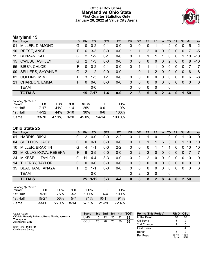### **Official Box Score Maryland vs Ohio State First Quarter Statistics Only January 20, 2022 at Value City Arena**



# **Maryland 15**

| No. | Player                  | S. | <b>Pts</b>    | FG.     | 3FG     | <b>FT</b> | <b>OR</b> | <b>DR</b> | <b>TR</b>    | PF           | A              | TO          | <b>Blk</b> | Stl            | <b>Min</b> | $+/-$          |
|-----|-------------------------|----|---------------|---------|---------|-----------|-----------|-----------|--------------|--------------|----------------|-------------|------------|----------------|------------|----------------|
| 01  | MILLER, DIAMOND         | G  | 0             | $0 - 2$ | $0 - 1$ | $0 - 0$   | 0         | 0         | 0            |              |                | 2           | 0          | 0              | 5          | $-2$           |
| 10  | <b>REESE, ANGEL</b>     | F. | 6             | $3 - 3$ | $0 - 0$ | $0-0$     |           |           | 2            | $\mathbf{0}$ | $\overline{0}$ | 0           | $\Omega$   | $\overline{0}$ |            | $-5$           |
| 11  | <b>BENZAN, KATIE</b>    | G  | $\mathcal{P}$ | $1 - 2$ | $0 - 1$ | $0-0$     | 0         | 1         |              | 1            | 1              | $\mathbf 0$ | 0          |                | 10         | $-10$          |
|     | 15 OWUSU, ASHLEY        | G  | $\mathcal{P}$ | $1 - 3$ | $0 - 0$ | $0-0$     | 0         | $\Omega$  | $\mathbf{0}$ | $\mathbf{0}$ | $\mathbf 0$    | 2           | $\Omega$   | $\Omega$       | 8          | $-10$          |
| 55  | <b>BIBBY, CHLOE</b>     | F  | $\Omega$      | $0 - 2$ | $0 - 1$ | $0-0$     | 0         | 1         |              | 1            | $\Omega$       | $\Omega$    | 0          | $\Omega$       |            | $-7$           |
| 00  | <b>SELLERS, SHYANNE</b> | G  | $\mathcal{P}$ | $1 - 2$ | $0 - 0$ | $0-0$     |           | $\Omega$  | 1            | 2            | $\Omega$       | 0           | 0          | $\Omega$       | 6          | -8             |
| 02  | <b>COLLINS, MIMI</b>    | F. | 3             | $1 - 3$ | $1 - 1$ | $0-0$     | 0         | $\Omega$  | $\Omega$     | $\Omega$     | $\mathbf 0$    | $\Omega$    | 0          | $\Omega$       | 6          | -8             |
| 21  | CHARDON, EMMA           | F. | $\Omega$      | $0 - 0$ | $0-0$   | $0-0$     | 0         | $\Omega$  | $\Omega$     | $\Omega$     | $\mathbf{0}$   | $\Omega$    | $\Omega$   | $\Omega$       | $\Omega$   | $\overline{0}$ |
|     | <b>TEAM</b>             |    |               | $0-0$   |         |           | 0         | 0         | $\Omega$     | 0            |                | 0           |            |                |            |                |
|     | <b>TOTALS</b>           |    |               | 15 7-17 | 1-4     | $0 - 0$   | 2         | 3         | 5            | 5            | $\mathbf{c}$   | 4           | O          |                | 50         |                |

| <b>Shooting By Period</b> |           |       |          |        |       |        |
|---------------------------|-----------|-------|----------|--------|-------|--------|
| Period                    | FG        | FG%   | 3FG      | 3FG%   | FТ    | FT%    |
| 1st Half                  | 7-17      | 41%   | 1-4      | 25%    | 0-0   | $0\%$  |
| 1st Half                  | 14.32     | 44%   | $3 - 10$ | $30\%$ | 6-6   | 100%   |
| Game                      | $33 - 70$ | 47.1% | $9-20$   | 45.0%  | 14-14 | 100.0% |

# **Ohio State 25**

| No. | Player                 | S. | <b>Pts</b> | <b>FG</b> | 3FG     | <b>FT</b> | <b>OR</b>      | <b>DR</b>    | TR.      | <b>PF</b>      | $\mathsf{A}$   | TO           | <b>BIK</b>   | Stl      | Min      | $+/-$          |
|-----|------------------------|----|------------|-----------|---------|-----------|----------------|--------------|----------|----------------|----------------|--------------|--------------|----------|----------|----------------|
| 01  | <b>HARRIS, RIKKI</b>   | G  | 2          | $0 - 0$   | $0-0$   | $2 - 2$   | 0              |              |          | 0              |                | $\mathbf{0}$ | 0            |          | 10       | 10             |
| 04  | <b>SHELDON, JACY</b>   | G  | $\Omega$   | $0 - 1$   | $0 - 0$ | $0-0$     | $\mathbf{0}$   |              |          | 1              | 6              | 3            | $\mathbf{0}$ |          | 10       | 10             |
| 10  | MILLER, BRAXTIN        | G  | 4          | -1-1      | $0 - 0$ | $2 - 2$   | $\Omega$       | 0            | $\Omega$ |                |                |              | 0            |          | 10       | 10             |
| 23  | MIKULASIKOVA, REBEKA   | F. | 6          | $3 - 5$   | $0 - 0$ | $0 - 0$   | $\mathbf{0}$   | 2            | 2        | $\Omega$       | $\overline{0}$ | $\Omega$     | $\Omega$     | $\Omega$ |          | $\overline{7}$ |
| 24  | MIKESELL, TAYLOR       | G  | 11         | $4 - 4$   | $3 - 3$ | $0 - 0$   | 0              | 2            | 2        | $\Omega$       | 0              | $\Omega$     | 0            | 0        | 10       | 10             |
| 14  | THIERRY, TAYLOR        | G  | $\Omega$   | $0 - 0$   | $0 - 0$ | $0 - 0$   | $\overline{0}$ | $\mathbf{0}$ | $\Omega$ | $\mathbf{0}$   | $\overline{0}$ | $\Omega$     | $\Omega$     | $\Omega$ | $\Omega$ | $\overline{0}$ |
| 35  | <b>BEACHAM, TANAYA</b> | F. | 2          | 1-1       | $0 - 0$ | $0-0$     | 0              | 0            | $\Omega$ | $\Omega$       | $\Omega$       | $\Omega$     | $\Omega$     | $\Omega$ | 3        | -3             |
|     | <b>TEAM</b>            |    |            | $0-0$     |         |           | $\Omega$       | 2            | 2        | -0             |                | $\mathbf{0}$ |              |          |          |                |
|     | <b>TOTALS</b>          |    |            | 25 9-12   | 3-3     | $4 - 4$   | $\bf{0}$       | 8            | 8        | $\overline{2}$ | 8              | 4            | $\bf{0}$     |          | 2 50     |                |

| <b>Shooting By Period</b><br>Period | FG        | FG%   | 3FG      | 3FG%       | FT        | FT%   |
|-------------------------------------|-----------|-------|----------|------------|-----------|-------|
| 1st Half                            | $9 - 12$  | 75%   | $3-3$    | 100%       | $4 - 4$   | 100%  |
| 1st Half                            | $15 - 27$ | .56%  | 5-7      | <b>71%</b> | $10 - 11$ | 91%   |
| Game                                | $33 - 60$ | 55.0% | $8 - 14$ | 57.1%      | 21-29     | 72.4% |

| Game Notes:                                                          | <b>Score</b> | 1st. | 2nd | 3rd | 4th | <b>TOT</b> | <b>Points (This Period)</b> | <b>UMD</b>    | OSU            |
|----------------------------------------------------------------------|--------------|------|-----|-----|-----|------------|-----------------------------|---------------|----------------|
| Officials: Beverly Roberts, Bruce Morris, Nykesha<br><b>Thompson</b> | UMD          | 15   | 22  | 20  | 32  | 89         | In the Paint                | 10            | 10             |
| Attendance: 3319                                                     | osu          | 25   | 20  | 20  | 30  | 95         | Off Turns                   |               |                |
|                                                                      |              |      |     |     |     |            | 2nd Chance                  |               |                |
| Start Time: 11:01 PM<br>Conference Game;                             |              |      |     |     |     |            | Fast Break                  |               |                |
|                                                                      |              |      |     |     |     |            | Bench                       |               |                |
|                                                                      |              |      |     |     |     |            | Per Poss                    | 0.789<br>7/19 | 1.389<br>11/18 |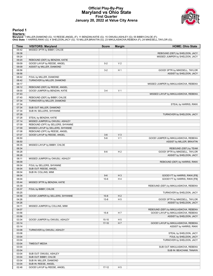#### **Official Play-By-Play Maryland vs Ohio State First Quarter January 20, 2022 at Value City Arena**



#### **Period 1**

<mark>Starters:</mark><br>Maryland: 1 MILLER,DIAMOND (G); 10 REESE,ANGEL (F); 11 BENZAN,KATIE (G); 15 OWUSU,ASHLEY (G); 55 BIBBY,CHLOE (F);<br>**Ohio State**: 1 HARRIS,RIKKI (G); 4 SHELDON,JACY (G); 10 MILLER,BRAXTIN (G); 23 MIKULASIKOVA,REB

| <b>VISITORS: Maryland</b><br>Time<br><b>Score</b><br><b>Margin</b><br>MISSED 3PTR by BIBBY, CHLOE<br>09:42<br>09:38<br>REBOUND (DEF) by SHELDON, JACY<br>09:24<br>MISSED JUMPER by SHELDON, JACY<br>09:20<br>REBOUND (DEF) by BENZAN, KATIE<br>09:09<br>GOOD! LAYUP by REESE, ANGEL<br>$0 - 2$<br>V <sub>2</sub><br>09:09<br>ASSIST by MILLER, DIAMOND<br>08:56<br>H <sub>1</sub><br>$3-2$<br>GOOD! 3PTR by MIKESELL, TAYLOR<br>08:56<br>08:42<br>FOUL by MILLER, DIAMOND<br>08:42<br>TURNOVER by MILLER, DIAMOND<br>08:17<br>MISSED JUMPER by MIKULASIKOVA, REBEKA<br>08:12<br>REBOUND (DEF) by REESE, ANGEL<br>08:00<br>V <sub>1</sub><br>GOOD! JUMPER by BENZAN, KATIE<br>$3 - 4$<br>07:43<br>MISSED LAYUP by MIKULASIKOVA, REBEKA<br>07:40<br>REBOUND (DEF) by BIBBY, CHLOE<br>07:34<br>TURNOVER by MILLER, DIAMOND<br>07:34<br>07:34<br>SUB OUT: MILLER, DIAMOND<br>07:34<br>SUB IN: SELLERS, SHYANNE<br>07:28<br>TURNOVER by SHELDON, JACY<br>07:28<br>STEAL by BENZAN, KATIE<br>07:14<br>MISSED JUMPER by OWUSU, ASHLEY<br>07:09<br>REBOUND (OFF) by SELLERS, SHYANNE<br>07:09<br>MISSED LAYUP by SELLERS, SHYANNE<br>07:08<br>REBOUND (OFF) by REESE, ANGEL<br>07:07<br>V <sub>3</sub><br>GOOD! LAYUP by REESE, ANGEL<br>$3-6$<br>V <sub>1</sub><br>06:50<br>GOOD! JUMPER by MIKULASIKOVA, REBEKA<br>$5-6$<br>06:50<br>ASSIST by MILLER, BRAXTIN<br>06:35<br>MISSED LAYUP by BIBBY, CHLOE<br>06:34<br>REBOUND (DEF) by TEAM<br>06:28<br>H <sub>2</sub><br>$8-6$<br>GOOD! 3PTR by MIKESELL, TAYLOR<br>06:28<br>ASSIST by SHELDON, JACY<br>06:11<br>MISSED JUMPER by OWUSU, ASHLEY<br>06:09<br>REBOUND (DEF) by HARRIS, RIKKI<br>06:04<br>FOUL by SELLERS, SHYANNE<br>06:04<br>SUB OUT: REESE, ANGEL<br>06:04<br>SUB IN: COLLINS, MIMI<br>06:04<br>$H_3$<br>$9-6$<br>GOOD! FT by HARRIS, RIKKI [FB] | <b>HOME: Ohio State</b> |
|-----------------------------------------------------------------------------------------------------------------------------------------------------------------------------------------------------------------------------------------------------------------------------------------------------------------------------------------------------------------------------------------------------------------------------------------------------------------------------------------------------------------------------------------------------------------------------------------------------------------------------------------------------------------------------------------------------------------------------------------------------------------------------------------------------------------------------------------------------------------------------------------------------------------------------------------------------------------------------------------------------------------------------------------------------------------------------------------------------------------------------------------------------------------------------------------------------------------------------------------------------------------------------------------------------------------------------------------------------------------------------------------------------------------------------------------------------------------------------------------------------------------------------------------------------------------------------------------------------------------------------------------------------------------------------------------------------------------------------------------------------------------------------------------------------------|-------------------------|
|                                                                                                                                                                                                                                                                                                                                                                                                                                                                                                                                                                                                                                                                                                                                                                                                                                                                                                                                                                                                                                                                                                                                                                                                                                                                                                                                                                                                                                                                                                                                                                                                                                                                                                                                                                                                           |                         |
|                                                                                                                                                                                                                                                                                                                                                                                                                                                                                                                                                                                                                                                                                                                                                                                                                                                                                                                                                                                                                                                                                                                                                                                                                                                                                                                                                                                                                                                                                                                                                                                                                                                                                                                                                                                                           |                         |
|                                                                                                                                                                                                                                                                                                                                                                                                                                                                                                                                                                                                                                                                                                                                                                                                                                                                                                                                                                                                                                                                                                                                                                                                                                                                                                                                                                                                                                                                                                                                                                                                                                                                                                                                                                                                           |                         |
|                                                                                                                                                                                                                                                                                                                                                                                                                                                                                                                                                                                                                                                                                                                                                                                                                                                                                                                                                                                                                                                                                                                                                                                                                                                                                                                                                                                                                                                                                                                                                                                                                                                                                                                                                                                                           |                         |
|                                                                                                                                                                                                                                                                                                                                                                                                                                                                                                                                                                                                                                                                                                                                                                                                                                                                                                                                                                                                                                                                                                                                                                                                                                                                                                                                                                                                                                                                                                                                                                                                                                                                                                                                                                                                           |                         |
|                                                                                                                                                                                                                                                                                                                                                                                                                                                                                                                                                                                                                                                                                                                                                                                                                                                                                                                                                                                                                                                                                                                                                                                                                                                                                                                                                                                                                                                                                                                                                                                                                                                                                                                                                                                                           |                         |
|                                                                                                                                                                                                                                                                                                                                                                                                                                                                                                                                                                                                                                                                                                                                                                                                                                                                                                                                                                                                                                                                                                                                                                                                                                                                                                                                                                                                                                                                                                                                                                                                                                                                                                                                                                                                           |                         |
|                                                                                                                                                                                                                                                                                                                                                                                                                                                                                                                                                                                                                                                                                                                                                                                                                                                                                                                                                                                                                                                                                                                                                                                                                                                                                                                                                                                                                                                                                                                                                                                                                                                                                                                                                                                                           | ASSIST by SHELDON, JACY |
|                                                                                                                                                                                                                                                                                                                                                                                                                                                                                                                                                                                                                                                                                                                                                                                                                                                                                                                                                                                                                                                                                                                                                                                                                                                                                                                                                                                                                                                                                                                                                                                                                                                                                                                                                                                                           |                         |
|                                                                                                                                                                                                                                                                                                                                                                                                                                                                                                                                                                                                                                                                                                                                                                                                                                                                                                                                                                                                                                                                                                                                                                                                                                                                                                                                                                                                                                                                                                                                                                                                                                                                                                                                                                                                           |                         |
|                                                                                                                                                                                                                                                                                                                                                                                                                                                                                                                                                                                                                                                                                                                                                                                                                                                                                                                                                                                                                                                                                                                                                                                                                                                                                                                                                                                                                                                                                                                                                                                                                                                                                                                                                                                                           |                         |
|                                                                                                                                                                                                                                                                                                                                                                                                                                                                                                                                                                                                                                                                                                                                                                                                                                                                                                                                                                                                                                                                                                                                                                                                                                                                                                                                                                                                                                                                                                                                                                                                                                                                                                                                                                                                           |                         |
|                                                                                                                                                                                                                                                                                                                                                                                                                                                                                                                                                                                                                                                                                                                                                                                                                                                                                                                                                                                                                                                                                                                                                                                                                                                                                                                                                                                                                                                                                                                                                                                                                                                                                                                                                                                                           |                         |
|                                                                                                                                                                                                                                                                                                                                                                                                                                                                                                                                                                                                                                                                                                                                                                                                                                                                                                                                                                                                                                                                                                                                                                                                                                                                                                                                                                                                                                                                                                                                                                                                                                                                                                                                                                                                           |                         |
|                                                                                                                                                                                                                                                                                                                                                                                                                                                                                                                                                                                                                                                                                                                                                                                                                                                                                                                                                                                                                                                                                                                                                                                                                                                                                                                                                                                                                                                                                                                                                                                                                                                                                                                                                                                                           |                         |
|                                                                                                                                                                                                                                                                                                                                                                                                                                                                                                                                                                                                                                                                                                                                                                                                                                                                                                                                                                                                                                                                                                                                                                                                                                                                                                                                                                                                                                                                                                                                                                                                                                                                                                                                                                                                           |                         |
|                                                                                                                                                                                                                                                                                                                                                                                                                                                                                                                                                                                                                                                                                                                                                                                                                                                                                                                                                                                                                                                                                                                                                                                                                                                                                                                                                                                                                                                                                                                                                                                                                                                                                                                                                                                                           | STEAL by HARRIS, RIKKI  |
|                                                                                                                                                                                                                                                                                                                                                                                                                                                                                                                                                                                                                                                                                                                                                                                                                                                                                                                                                                                                                                                                                                                                                                                                                                                                                                                                                                                                                                                                                                                                                                                                                                                                                                                                                                                                           |                         |
|                                                                                                                                                                                                                                                                                                                                                                                                                                                                                                                                                                                                                                                                                                                                                                                                                                                                                                                                                                                                                                                                                                                                                                                                                                                                                                                                                                                                                                                                                                                                                                                                                                                                                                                                                                                                           |                         |
|                                                                                                                                                                                                                                                                                                                                                                                                                                                                                                                                                                                                                                                                                                                                                                                                                                                                                                                                                                                                                                                                                                                                                                                                                                                                                                                                                                                                                                                                                                                                                                                                                                                                                                                                                                                                           |                         |
|                                                                                                                                                                                                                                                                                                                                                                                                                                                                                                                                                                                                                                                                                                                                                                                                                                                                                                                                                                                                                                                                                                                                                                                                                                                                                                                                                                                                                                                                                                                                                                                                                                                                                                                                                                                                           |                         |
|                                                                                                                                                                                                                                                                                                                                                                                                                                                                                                                                                                                                                                                                                                                                                                                                                                                                                                                                                                                                                                                                                                                                                                                                                                                                                                                                                                                                                                                                                                                                                                                                                                                                                                                                                                                                           |                         |
|                                                                                                                                                                                                                                                                                                                                                                                                                                                                                                                                                                                                                                                                                                                                                                                                                                                                                                                                                                                                                                                                                                                                                                                                                                                                                                                                                                                                                                                                                                                                                                                                                                                                                                                                                                                                           |                         |
|                                                                                                                                                                                                                                                                                                                                                                                                                                                                                                                                                                                                                                                                                                                                                                                                                                                                                                                                                                                                                                                                                                                                                                                                                                                                                                                                                                                                                                                                                                                                                                                                                                                                                                                                                                                                           |                         |
|                                                                                                                                                                                                                                                                                                                                                                                                                                                                                                                                                                                                                                                                                                                                                                                                                                                                                                                                                                                                                                                                                                                                                                                                                                                                                                                                                                                                                                                                                                                                                                                                                                                                                                                                                                                                           |                         |
|                                                                                                                                                                                                                                                                                                                                                                                                                                                                                                                                                                                                                                                                                                                                                                                                                                                                                                                                                                                                                                                                                                                                                                                                                                                                                                                                                                                                                                                                                                                                                                                                                                                                                                                                                                                                           |                         |
|                                                                                                                                                                                                                                                                                                                                                                                                                                                                                                                                                                                                                                                                                                                                                                                                                                                                                                                                                                                                                                                                                                                                                                                                                                                                                                                                                                                                                                                                                                                                                                                                                                                                                                                                                                                                           |                         |
|                                                                                                                                                                                                                                                                                                                                                                                                                                                                                                                                                                                                                                                                                                                                                                                                                                                                                                                                                                                                                                                                                                                                                                                                                                                                                                                                                                                                                                                                                                                                                                                                                                                                                                                                                                                                           |                         |
|                                                                                                                                                                                                                                                                                                                                                                                                                                                                                                                                                                                                                                                                                                                                                                                                                                                                                                                                                                                                                                                                                                                                                                                                                                                                                                                                                                                                                                                                                                                                                                                                                                                                                                                                                                                                           |                         |
|                                                                                                                                                                                                                                                                                                                                                                                                                                                                                                                                                                                                                                                                                                                                                                                                                                                                                                                                                                                                                                                                                                                                                                                                                                                                                                                                                                                                                                                                                                                                                                                                                                                                                                                                                                                                           |                         |
|                                                                                                                                                                                                                                                                                                                                                                                                                                                                                                                                                                                                                                                                                                                                                                                                                                                                                                                                                                                                                                                                                                                                                                                                                                                                                                                                                                                                                                                                                                                                                                                                                                                                                                                                                                                                           |                         |
|                                                                                                                                                                                                                                                                                                                                                                                                                                                                                                                                                                                                                                                                                                                                                                                                                                                                                                                                                                                                                                                                                                                                                                                                                                                                                                                                                                                                                                                                                                                                                                                                                                                                                                                                                                                                           |                         |
|                                                                                                                                                                                                                                                                                                                                                                                                                                                                                                                                                                                                                                                                                                                                                                                                                                                                                                                                                                                                                                                                                                                                                                                                                                                                                                                                                                                                                                                                                                                                                                                                                                                                                                                                                                                                           |                         |
|                                                                                                                                                                                                                                                                                                                                                                                                                                                                                                                                                                                                                                                                                                                                                                                                                                                                                                                                                                                                                                                                                                                                                                                                                                                                                                                                                                                                                                                                                                                                                                                                                                                                                                                                                                                                           |                         |
|                                                                                                                                                                                                                                                                                                                                                                                                                                                                                                                                                                                                                                                                                                                                                                                                                                                                                                                                                                                                                                                                                                                                                                                                                                                                                                                                                                                                                                                                                                                                                                                                                                                                                                                                                                                                           |                         |
|                                                                                                                                                                                                                                                                                                                                                                                                                                                                                                                                                                                                                                                                                                                                                                                                                                                                                                                                                                                                                                                                                                                                                                                                                                                                                                                                                                                                                                                                                                                                                                                                                                                                                                                                                                                                           |                         |
|                                                                                                                                                                                                                                                                                                                                                                                                                                                                                                                                                                                                                                                                                                                                                                                                                                                                                                                                                                                                                                                                                                                                                                                                                                                                                                                                                                                                                                                                                                                                                                                                                                                                                                                                                                                                           |                         |
|                                                                                                                                                                                                                                                                                                                                                                                                                                                                                                                                                                                                                                                                                                                                                                                                                                                                                                                                                                                                                                                                                                                                                                                                                                                                                                                                                                                                                                                                                                                                                                                                                                                                                                                                                                                                           |                         |
|                                                                                                                                                                                                                                                                                                                                                                                                                                                                                                                                                                                                                                                                                                                                                                                                                                                                                                                                                                                                                                                                                                                                                                                                                                                                                                                                                                                                                                                                                                                                                                                                                                                                                                                                                                                                           |                         |
| 06:04<br>H <sub>4</sub><br>$10-6$<br>GOOD! FT by HARRIS, RIKKI [FB]                                                                                                                                                                                                                                                                                                                                                                                                                                                                                                                                                                                                                                                                                                                                                                                                                                                                                                                                                                                                                                                                                                                                                                                                                                                                                                                                                                                                                                                                                                                                                                                                                                                                                                                                       |                         |
| 05:44<br>MISSED 3PTR by BENZAN, KATIE                                                                                                                                                                                                                                                                                                                                                                                                                                                                                                                                                                                                                                                                                                                                                                                                                                                                                                                                                                                                                                                                                                                                                                                                                                                                                                                                                                                                                                                                                                                                                                                                                                                                                                                                                                     |                         |
| 05:39<br>REBOUND (DEF) by MIKULASIKOVA, REBEKA                                                                                                                                                                                                                                                                                                                                                                                                                                                                                                                                                                                                                                                                                                                                                                                                                                                                                                                                                                                                                                                                                                                                                                                                                                                                                                                                                                                                                                                                                                                                                                                                                                                                                                                                                            |                         |
| 05:37<br>FOUL by BIBBY, CHLOE                                                                                                                                                                                                                                                                                                                                                                                                                                                                                                                                                                                                                                                                                                                                                                                                                                                                                                                                                                                                                                                                                                                                                                                                                                                                                                                                                                                                                                                                                                                                                                                                                                                                                                                                                                             |                         |
| 05:25<br>TURNOVER by SHELDON, JACY                                                                                                                                                                                                                                                                                                                                                                                                                                                                                                                                                                                                                                                                                                                                                                                                                                                                                                                                                                                                                                                                                                                                                                                                                                                                                                                                                                                                                                                                                                                                                                                                                                                                                                                                                                        |                         |
| 04:58<br>GOOD! JUMPER by SELLERS, SHYANNE<br>$10 - 8$<br>H <sub>2</sub>                                                                                                                                                                                                                                                                                                                                                                                                                                                                                                                                                                                                                                                                                                                                                                                                                                                                                                                                                                                                                                                                                                                                                                                                                                                                                                                                                                                                                                                                                                                                                                                                                                                                                                                                   |                         |
| 04:26<br>$13 - 8$<br>H <sub>5</sub><br>GOOD! 3PTR by MIKESELL, TAYLOR                                                                                                                                                                                                                                                                                                                                                                                                                                                                                                                                                                                                                                                                                                                                                                                                                                                                                                                                                                                                                                                                                                                                                                                                                                                                                                                                                                                                                                                                                                                                                                                                                                                                                                                                     |                         |
| 04:26                                                                                                                                                                                                                                                                                                                                                                                                                                                                                                                                                                                                                                                                                                                                                                                                                                                                                                                                                                                                                                                                                                                                                                                                                                                                                                                                                                                                                                                                                                                                                                                                                                                                                                                                                                                                     | ASSIST by SHELDON, JACY |
| 04:11<br>MISSED JUMPER by COLLINS, MIMI                                                                                                                                                                                                                                                                                                                                                                                                                                                                                                                                                                                                                                                                                                                                                                                                                                                                                                                                                                                                                                                                                                                                                                                                                                                                                                                                                                                                                                                                                                                                                                                                                                                                                                                                                                   |                         |
| 04:07<br>REBOUND (DEF) by MIKULASIKOVA, REBEKA                                                                                                                                                                                                                                                                                                                                                                                                                                                                                                                                                                                                                                                                                                                                                                                                                                                                                                                                                                                                                                                                                                                                                                                                                                                                                                                                                                                                                                                                                                                                                                                                                                                                                                                                                            |                         |
| GOOD! LAYUP by MIKULASIKOVA, REBEKA<br>03:56<br>$15 - 8$<br>H 7                                                                                                                                                                                                                                                                                                                                                                                                                                                                                                                                                                                                                                                                                                                                                                                                                                                                                                                                                                                                                                                                                                                                                                                                                                                                                                                                                                                                                                                                                                                                                                                                                                                                                                                                           |                         |
| 03:56                                                                                                                                                                                                                                                                                                                                                                                                                                                                                                                                                                                                                                                                                                                                                                                                                                                                                                                                                                                                                                                                                                                                                                                                                                                                                                                                                                                                                                                                                                                                                                                                                                                                                                                                                                                                     | ASSIST by SHELDON, JACY |
| 03:34<br>GOOD! JUMPER by OWUSU, ASHLEY<br>H <sub>5</sub><br>$15-10$                                                                                                                                                                                                                                                                                                                                                                                                                                                                                                                                                                                                                                                                                                                                                                                                                                                                                                                                                                                                                                                                                                                                                                                                                                                                                                                                                                                                                                                                                                                                                                                                                                                                                                                                       |                         |
| 03:14<br>H 7<br>$17-10$<br>GOOD! LAYUP by MIKULASIKOVA, REBEKA                                                                                                                                                                                                                                                                                                                                                                                                                                                                                                                                                                                                                                                                                                                                                                                                                                                                                                                                                                                                                                                                                                                                                                                                                                                                                                                                                                                                                                                                                                                                                                                                                                                                                                                                            |                         |
| 03:14                                                                                                                                                                                                                                                                                                                                                                                                                                                                                                                                                                                                                                                                                                                                                                                                                                                                                                                                                                                                                                                                                                                                                                                                                                                                                                                                                                                                                                                                                                                                                                                                                                                                                                                                                                                                     | ASSIST by HARRIS, RIKKI |
| 03:08<br>TURNOVER by OWUSU, ASHLEY                                                                                                                                                                                                                                                                                                                                                                                                                                                                                                                                                                                                                                                                                                                                                                                                                                                                                                                                                                                                                                                                                                                                                                                                                                                                                                                                                                                                                                                                                                                                                                                                                                                                                                                                                                        |                         |
| 03:08                                                                                                                                                                                                                                                                                                                                                                                                                                                                                                                                                                                                                                                                                                                                                                                                                                                                                                                                                                                                                                                                                                                                                                                                                                                                                                                                                                                                                                                                                                                                                                                                                                                                                                                                                                                                     | STEAL by SHELDON, JACY  |
| 03:04                                                                                                                                                                                                                                                                                                                                                                                                                                                                                                                                                                                                                                                                                                                                                                                                                                                                                                                                                                                                                                                                                                                                                                                                                                                                                                                                                                                                                                                                                                                                                                                                                                                                                                                                                                                                     | FOUL by SHELDON, JACY   |
| TURNOVER by SHELDON, JACY<br>03:04                                                                                                                                                                                                                                                                                                                                                                                                                                                                                                                                                                                                                                                                                                                                                                                                                                                                                                                                                                                                                                                                                                                                                                                                                                                                                                                                                                                                                                                                                                                                                                                                                                                                                                                                                                        |                         |
| 03:04<br><b>TIMEOUT MEDIA</b>                                                                                                                                                                                                                                                                                                                                                                                                                                                                                                                                                                                                                                                                                                                                                                                                                                                                                                                                                                                                                                                                                                                                                                                                                                                                                                                                                                                                                                                                                                                                                                                                                                                                                                                                                                             |                         |
| 03:04<br>SUB OUT: MIKULASIKOVA, REBEKA                                                                                                                                                                                                                                                                                                                                                                                                                                                                                                                                                                                                                                                                                                                                                                                                                                                                                                                                                                                                                                                                                                                                                                                                                                                                                                                                                                                                                                                                                                                                                                                                                                                                                                                                                                    |                         |
| 03:04                                                                                                                                                                                                                                                                                                                                                                                                                                                                                                                                                                                                                                                                                                                                                                                                                                                                                                                                                                                                                                                                                                                                                                                                                                                                                                                                                                                                                                                                                                                                                                                                                                                                                                                                                                                                     | SUB IN: BEACHAM, TANAYA |
| 03:04<br>SUB OUT: OWUSU, ASHLEY                                                                                                                                                                                                                                                                                                                                                                                                                                                                                                                                                                                                                                                                                                                                                                                                                                                                                                                                                                                                                                                                                                                                                                                                                                                                                                                                                                                                                                                                                                                                                                                                                                                                                                                                                                           |                         |
| 03:04<br>SUB OUT: BIBBY, CHLOE                                                                                                                                                                                                                                                                                                                                                                                                                                                                                                                                                                                                                                                                                                                                                                                                                                                                                                                                                                                                                                                                                                                                                                                                                                                                                                                                                                                                                                                                                                                                                                                                                                                                                                                                                                            |                         |
| 03:04<br>SUB IN: MILLER, DIAMOND                                                                                                                                                                                                                                                                                                                                                                                                                                                                                                                                                                                                                                                                                                                                                                                                                                                                                                                                                                                                                                                                                                                                                                                                                                                                                                                                                                                                                                                                                                                                                                                                                                                                                                                                                                          |                         |
| 03:04<br>SUB IN: REESE, ANGEL                                                                                                                                                                                                                                                                                                                                                                                                                                                                                                                                                                                                                                                                                                                                                                                                                                                                                                                                                                                                                                                                                                                                                                                                                                                                                                                                                                                                                                                                                                                                                                                                                                                                                                                                                                             |                         |
| $17 - 12$<br>H <sub>5</sub><br>02:48<br>GOOD! LAYUP by REESE, ANGEL                                                                                                                                                                                                                                                                                                                                                                                                                                                                                                                                                                                                                                                                                                                                                                                                                                                                                                                                                                                                                                                                                                                                                                                                                                                                                                                                                                                                                                                                                                                                                                                                                                                                                                                                       |                         |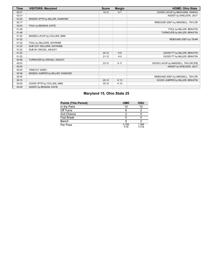| <b>Time</b> | <b>VISITORS: Maryland</b>        | <b>Score</b> | <b>Margin</b>  | <b>HOME: Ohio State</b>              |
|-------------|----------------------------------|--------------|----------------|--------------------------------------|
| 02:31       |                                  | $19-12$      | H <sub>7</sub> | GOOD! LAYUP by BEACHAM, TANAYA       |
| 02:31       |                                  |              |                | ASSIST by SHELDON, JACY              |
| 02:20       | MISSED 3PTR by MILLER, DIAMOND   |              |                |                                      |
| 02:17       |                                  |              |                | REBOUND (DEF) by MIKESELL, TAYLOR    |
| 02:03       | FOUL by BENZAN, KATIE            |              |                |                                      |
| 01:46       |                                  |              |                | FOUL by MILLER, BRAXTIN              |
| 01:46       |                                  |              |                | TURNOVER by MILLER, BRAXTIN          |
| 01:22       | MISSED LAYUP by COLLINS, MIMI    |              |                |                                      |
| 01:22       |                                  |              |                | REBOUND (DEF) by TEAM                |
| 01:22       | FOUL by SELLERS, SHYANNE         |              |                |                                      |
| 01:22       | SUB OUT: SELLERS, SHYANNE        |              |                |                                      |
| 01:22       | SUB IN: OWUSU, ASHLEY            |              |                |                                      |
| 01:22       |                                  | $20-12$      | H8             | GOOD! FT by MILLER, BRAXTIN          |
| 01:22       |                                  | $21 - 12$    | H9             | GOOD! FT by MILLER, BRAXTIN          |
| 00:58       | TURNOVER by OWUSU, ASHLEY        |              |                |                                      |
| 00:53       |                                  | $23 - 12$    | H 11           | GOOD! LAYUP by MIKESELL, TAYLOR [FB] |
| 00:53       |                                  |              |                | ASSIST by SHELDON, JACY              |
| 00:50       | TIMEOUT 30SEC                    |              |                |                                      |
| 00:38       | MISSED JUMPER by MILLER, DIAMOND |              |                |                                      |
| 00:34       |                                  |              |                | REBOUND (DEF) by MIKESELL, TAYLOR    |
| 00:10       |                                  | $25-12$      | H 13           | GOOD! JUMPER by MILLER, BRAXTIN      |
| 00:00       | GOOD! 3PTR by COLLINS, MIMI      | $25 - 15$    | H 10           |                                      |
| 00:00       | ASSIST by BENZAN, KATIE          |              |                |                                      |

# **Maryland 15, Ohio State 25**

| <b>Points (This Period)</b> | <b>UMD</b>    | OSU            |
|-----------------------------|---------------|----------------|
| In the Paint                | 10            | 10             |
| Off Turns                   |               |                |
| 2nd Chance                  |               |                |
| Fast Break                  |               |                |
| Bench                       |               |                |
| Per Poss                    | 0.789<br>7/19 | 1.389<br>11/18 |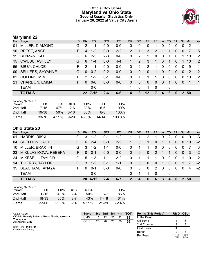### **Official Box Score Maryland vs Ohio State Second Quarter Statistics Only January 20, 2022 at Value City Arena**



# **Maryland 22**

| No. | Player                  | S. | <b>Pts</b>    | <b>FG</b> | 3FG     | <b>FT</b> | 0R       | <b>DR</b>   | <b>TR</b>      | <b>PF</b>   | $\mathsf{A}$ | TO       | <b>B</b> lk | Stl      | Min | $+/-$          |
|-----|-------------------------|----|---------------|-----------|---------|-----------|----------|-------------|----------------|-------------|--------------|----------|-------------|----------|-----|----------------|
| 01  | MILLER, DIAMOND         | G  | 2             | $1 - 1$   | $0 - 0$ | $0 - 0$   | 0        | 0           | 0              |             | 0            | 2        | 0           | $\Omega$ | 2   | -1             |
| 10  | <b>REESE, ANGEL</b>     | F. | 4             | $1 - 2$   | $0 - 0$ | $2 - 2$   | 2        |             | 3              | 2           |              |          | 0           | 0        |     | 5              |
| 11  | <b>BENZAN, KATIE</b>    | G  | 6             | $2 - 3$   | $2 - 3$ | $0 - 0$   | 0        | 2           | $\overline{2}$ | $\Omega$    | $\mathbf{0}$ | 1        | 0           |          | 10  | 2              |
|     | 15 OWUSU, ASHLEY        | G  | 6             | $1 - 4$   | $0 - 0$ | $4 - 4$   |          | 2           | 3              | 1           | 3            | -1       | 0           |          | 10  | 2              |
| 55  | <b>BIBBY, CHLOE</b>     | F. | $\mathcal{P}$ | $1 - 1$   | $0-0$   | $0-0$     | $\Omega$ | 2           | 2              | 1           | $\Omega$     | $\Omega$ | 0           | $\Omega$ | 9   | $\mathbf 1$    |
| 00  | <b>SELLERS, SHYANNE</b> | G  | $\Omega$      | $0 - 2$   | $0 - 2$ | $0-0$     | 0        | $\Omega$    | $\Omega$       | 1           | $\Omega$     | 0        | 0           | $\Omega$ | 2   | $-2$           |
| 02  | <b>COLLINS, MIMI</b>    | F. | $\mathcal{P}$ | $1 - 2$   | 0-1     | $0 - 0$   | 0        |             |                |             | $\Omega$     | $\Omega$ | 0           | $\Omega$ | 10  | 2              |
| 21  | CHARDON, EMMA           | F. | $\Omega$      | $0-0$     | $0-0$   | $0 - 0$   | 0        | $\Omega$    | $\Omega$       | $\Omega$    | $\Omega$     | 1        | 0           | $\Omega$ | -1  | $\overline{1}$ |
|     | <b>TEAM</b>             |    |               | $0-0$     |         |           |          | $\mathbf 0$ |                | $\mathbf 0$ |              | 0        |             |          |     |                |
|     | <b>TOTALS</b>           |    | 22            | 7-15      | $2 - 6$ | $6-6$     |          | 8           | 12             |             | 4            | 6        | 0           |          | 50  |                |

| <b>Shooting By Period</b><br>Period | FG        | FG%   | 3FG      | 3FG%  | ET.   | FT%     |
|-------------------------------------|-----------|-------|----------|-------|-------|---------|
| 2nd Half                            | 7-15      | 47%   | 2-6.     | 33%   | 6-6   | 100%    |
| 2nd Half                            | 19-38     | 50%   | $6-10$   | 60%   | 8-8   | $100\%$ |
| Game                                | $33 - 70$ | 47.1% | $9 - 20$ | 45.0% | 14-14 | 100.0%  |

# **Ohio State 20**

| No. | Player                 | S. | <b>Pts</b> | <b>FG</b>    | 3FG     | <b>FT</b> | <b>OR</b>    | <b>DR</b>    | TR.          | <b>PF</b>      | A        | TO       | <b>Blk</b> | Stl      | Min  | $+/-$ |
|-----|------------------------|----|------------|--------------|---------|-----------|--------------|--------------|--------------|----------------|----------|----------|------------|----------|------|-------|
| 01  | <b>HARRIS, RIKKI</b>   | G  | 3          | $1 - 2$      | $0 - 1$ | 1-2       |              |              | 2            |                | 0        | 2        | 0          |          | 9    | $-3$  |
| 04  | SHELDON, JACY          | G  | 6          | $2 - 4$      | $0 - 0$ | $2 - 2$   |              | $\mathbf{0}$ | 1            | $\mathbf{0}$   |          |          | 0          | $\Omega$ | 10   | $-2$  |
| 10  | <b>MILLER, BRAXTIN</b> | G  | 3          | $1 - 2$      | 1-1     | $0 - 0$   | $\Omega$     |              |              | $\Omega$       | 0        | $\Omega$ | 0          |          |      | - 3   |
| 23  | MIKULASIKOVA, REBEKA   | F. | $\Omega$   | $0 - 1$      | $0 - 0$ | $0 - 0$   | $\mathbf{0}$ | $\mathbf{0}$ | $\mathbf{0}$ | $\mathcal{P}$  | 1        |          | $\Omega$   | $\Omega$ | 3    | $-2$  |
| 24  | MIKESELL, TAYLOR       | G  | 5          | $1 - 3$      | $1 - 1$ | $2 - 2$   | 0            | 1            |              | 1.             | 0        | $\Omega$ | $\Omega$   |          | 10   | $-2$  |
| 14  | THIERRY, TAYLOR        | G  | 3          | $1 - 2$      | $0 - 1$ | $1 - 1$   | $\Omega$     | $\mathbf{0}$ | $\Omega$     | $\Omega$       | 1        | $\Omega$ | $\Omega$   |          | 7    | $-2$  |
| 35  | <b>BEACHAM, TANAYA</b> | F  | $\Omega$   | $0 - 1$      | $0 - 0$ | $0-0$     | 0            | 0            | $\mathbf{0}$ | $\overline{2}$ | $\Omega$ | $\Omega$ | $\Omega$   | $\Omega$ | 4    | $-2$  |
|     | <b>TEAM</b>            |    |            | $0 - 0$      |         |           | 0            |              |              | $\Omega$       |          | $\Omega$ |            |          |      |       |
|     | <b>TOTALS</b>          |    |            | $206 - - 15$ |         | $6 - 7$   | 2            | 4            | 6            | 6              | 3        | 4        | 0          |          | 2 50 |       |

| <b>Shooting By Period</b><br>Period | FG    | FG%   | 3FG     | 3FG%  | FТ        | FT%   |
|-------------------------------------|-------|-------|---------|-------|-----------|-------|
| 2nd Half                            | 6-15  | 40%   | $2 - 4$ | 50%   | 6-7       | 86%   |
| 2nd Half                            | 18-33 | 55%   | $3 - 7$ | 43%   | $11 - 18$ | 61%   |
| Game                                | 33-60 | 55.0% | 8-14    | 57.1% | $21 - 29$ | 72.4% |

| Game Notes:                                                          | <b>Score</b> | 1st. | 2nd | 3rd | 4th | <b>TOT</b> | <b>Points (This Period)</b> | <b>UMD</b>     | OSU           |
|----------------------------------------------------------------------|--------------|------|-----|-----|-----|------------|-----------------------------|----------------|---------------|
| Officials: Beverly Roberts, Bruce Morris, Nykesha<br><b>Thompson</b> | UMD          | 15   | 22  | 20  | 32  | 89         | In the Paint                |                |               |
| Attendance: 3319                                                     | osu          | 25   | 20  | 20  | 30  | 95         | Off Turns                   |                |               |
|                                                                      |              |      |     |     |     |            | 2nd Chance                  |                |               |
| Start Time: 11:01 PM<br>Conference Game;                             |              |      |     |     |     |            | <b>Fast Break</b>           |                |               |
|                                                                      |              |      |     |     |     |            | Bench                       |                |               |
|                                                                      |              |      |     |     |     |            | Per Poss                    | 100.،<br>10/20 | 1.000<br>9/20 |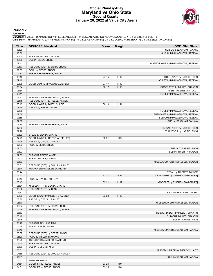#### **Official Play-By-Play Maryland vs Ohio State Second Quarter January 20, 2022 at Value City Arena**



#### **Period 2**

<mark>Starters:</mark><br>Maryland: 1 MILLER,DIAMOND (G); 10 REESE,ANGEL (F); 11 BENZAN,KATIE (G); 15 OWUSU,ASHLEY (G); 55 BIBBY,CHLOE (F);<br>**Ohio State**: 1 HARRIS,RIKKI (G); 4 SHELDON,JACY (G); 10 MILLER,BRAXTIN (G); 23 MIKULASIKOVA,REB

| Time           | <b>VISITORS: Maryland</b>                             | <b>Score</b> | <b>Margin</b>  | <b>HOME: Ohio State</b>                                         |
|----------------|-------------------------------------------------------|--------------|----------------|-----------------------------------------------------------------|
| 10:00          |                                                       |              |                | SUB OUT: BEACHAM, TANAYA                                        |
| 10:00          |                                                       |              |                | SUB IN: MIKULASIKOVA, REBEKA                                    |
| 10:00          | SUB OUT: MILLER, DIAMOND                              |              |                |                                                                 |
| 10:00          | SUB IN: BIBBY, CHLOE                                  |              |                |                                                                 |
| 09:41          |                                                       |              |                | MISSED LAYUP by MIKULASIKOVA, REBEKA                            |
| 09:37<br>09:33 | REBOUND (DEF) by BIBBY, CHLOE<br>FOUL by REESE, ANGEL |              |                |                                                                 |
| 09:33          | TURNOVER by REESE, ANGEL                              |              |                |                                                                 |
| 09:16          |                                                       | $27 - 15$    | H 12           | GOOD! LAYUP by HARRIS, RIKKI                                    |
| 09:16          |                                                       |              |                | ASSIST by MIKULASIKOVA, REBEKA                                  |
| 09:08          | GOOD! JUMPER by OWUSU, ASHLEY                         | $27 - 17$    | H 10           |                                                                 |
| 08:54          |                                                       | $30 - 17$    | H 13           | GOOD! 3PTR by MILLER, BRAXTIN                                   |
| 08:54          |                                                       |              |                | ASSIST by SHELDON, JACY                                         |
| 08:41          |                                                       |              |                | FOUL by MIKULASIKOVA, REBEKA                                    |
| 08:21          | MISSED JUMPER by OWUSU, ASHLEY                        |              |                |                                                                 |
| 08:15          | REBOUND (OFF) by REESE, ANGEL                         |              |                |                                                                 |
| 08:15          | GOOD! LAYUP by BIBBY, CHLOE                           | $30 - 19$    | H 11           |                                                                 |
| 08:15          | ASSIST by REESE, ANGEL                                |              |                |                                                                 |
| 07:58          |                                                       |              |                | FOUL by MIKULASIKOVA, REBEKA                                    |
| 07:58          |                                                       |              |                | TURNOVER by MIKULASIKOVA, REBEKA                                |
| 07:58          |                                                       |              |                | SUB OUT: MIKULASIKOVA, REBEKA                                   |
| 07:58<br>07:35 | MISSED JUMPER by REESE, ANGEL                         |              |                | SUB IN: BEACHAM, TANAYA                                         |
| 07:32          |                                                       |              |                | REBOUND (DEF) by HARRIS, RIKKI                                  |
| 07:29          |                                                       |              |                | TURNOVER by HARRIS, RIKKI                                       |
| 07:29          | STEAL by BENZAN, KATIE                                |              |                |                                                                 |
| 07:25          | GOOD! LAYUP by REESE, ANGEL [FB]                      | $30 - 21$    | H9             |                                                                 |
| 07:25          | ASSIST by OWUSU, ASHLEY                               |              |                |                                                                 |
| 07:03          | FOUL by BIBBY, CHLOE                                  |              |                |                                                                 |
| 07:03          |                                                       |              |                | SUB OUT: HARRIS, RIKKI                                          |
| 07:03          |                                                       |              |                | SUB IN: THIERRY, TAYLOR                                         |
| 07:03          | SUB OUT: REESE, ANGEL                                 |              |                |                                                                 |
| 07:03          | SUB IN: MILLER, DIAMOND                               |              |                |                                                                 |
| 06:53          |                                                       |              |                | MISSED JUMPER by MIKESELL, TAYLOR                               |
| 06:51          | REBOUND (DEF) by OWUSU, ASHLEY                        |              |                |                                                                 |
| 06:44<br>06:44 | TURNOVER by MILLER, DIAMOND                           |              |                |                                                                 |
| 06:43          |                                                       | $32 - 21$    | H 11           | STEAL by THIERRY, TAYLOR<br>GOOD! LAYUP by THIERRY, TAYLOR [FB] |
| 06:43          | FOUL by OWUSU, ASHLEY                                 |              |                |                                                                 |
| 06:43          |                                                       | $33 - 21$    | H 12           | GOOD! FT by THIERRY, TAYLOR [FB]                                |
| 06:34          | MISSED 3PTR by BENZAN, KATIE                          |              |                |                                                                 |
| 06:32          | REBOUND (OFF) by TEAM                                 |              |                |                                                                 |
| 06:32          |                                                       |              |                | FOUL by BEACHAM, TANAYA                                         |
| 06:30          | GOOD! LAYUP by MILLER, DIAMOND                        | $33 - 23$    | H 10           |                                                                 |
| 06:30          | ASSIST by OWUSU, ASHLEY                               |              |                |                                                                 |
| 06:10          |                                                       |              |                | MISSED LAYUP by MIKESELL, TAYLOR                                |
| 06:07          | REBOUND (DEF) by BIBBY, CHLOE                         |              |                |                                                                 |
| 05:56          | MISSED JUMPER by OWUSU, ASHLEY                        |              |                |                                                                 |
| 05:53          |                                                       |              |                | REBOUND (DEF) by MILLER, BRAXTIN                                |
| 05:48          |                                                       |              |                | SUB OUT: MILLER, BRAXTIN                                        |
| 05:48<br>05:48 | SUB OUT: COLLINS, MIMI                                |              |                | SUB IN: HARRIS, RIKKI                                           |
| 05:48          | SUB IN: REESE, ANGEL                                  |              |                |                                                                 |
| 05:40          |                                                       |              |                | MISSED JUMPER by BEACHAM, TANAYA                                |
| 05:37          | REBOUND (DEF) by REESE, ANGEL                         |              |                |                                                                 |
| 05:20          | FOUL by MILLER, DIAMOND                               |              |                |                                                                 |
| 05:20          | TURNOVER by MILLER, DIAMOND                           |              |                |                                                                 |
| 05:20          | SUB OUT: MILLER, DIAMOND                              |              |                |                                                                 |
| 05:20          | SUB IN: COLLINS, MIMI                                 |              |                |                                                                 |
| 05:01          |                                                       |              |                | MISSED JUMPER by SHELDON, JACY                                  |
| 04:58          | REBOUND (DEF) by OWUSU, ASHLEY                        |              |                |                                                                 |
| 04:51          |                                                       |              |                | FOUL by BEACHAM, TANAYA                                         |
| 04:51          | <b>TIMEOUT MEDIA</b>                                  |              |                |                                                                 |
| 04:51          | GOOD! FT by REESE, ANGEL                              | $33 - 24$    | H9             |                                                                 |
| 04:51          | GOOD! FT by REESE, ANGEL                              | 33-25        | H <sub>8</sub> |                                                                 |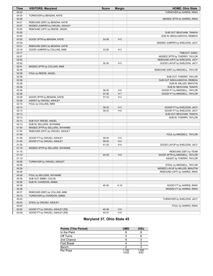| 04:43<br>TURNOVER by HARRIS, RIKKI<br>04:35<br>TURNOVER by BENZAN, KATIE<br>04:26<br>MISSED 3PTR by HARRIS, RIKKI<br>04:21<br>REBOUND (DEF) by BENZAN, KATIE<br>03:57<br>MISSED JUMPER by OWUSU, ASHLEY<br>03:55<br>REBOUND (OFF) by REESE, ANGEL<br>03:55<br>SUB OUT: BEACHAM, TANAYA<br>03:55<br>SUB IN: MIKULASIKOVA, REBEKA<br>03:52<br>GOOD! 3PTR by BENZAN, KATIE<br>H <sub>5</sub><br>33-28<br>03:34<br>MISSED JUMPER by SHELDON, JACY<br>03:31<br>REBOUND (DEF) by BENZAN, KATIE<br>03:19<br>GOOD! JUMPER by COLLINS, MIMI<br>$H_3$<br>33-30<br>03:17<br>TIMEOUT 30SEC<br>02:57<br>MISSED 3PTR by THIERRY, TAYLOR<br>02:52<br>REBOUND (OFF) by SHELDON, JACY<br>02:52<br>35-30<br>H <sub>5</sub><br>GOOD! LAYUP by SHELDON, JACY<br>02:41<br>MISSED 3PTR by COLLINS, MIMI<br>02:36<br>REBOUND (DEF) by MIKESELL, TAYLOR<br>02:36<br>FOUL by REESE, ANGEL<br>02:36<br>SUB OUT: THIERRY, TAYLOR<br>02:36<br>SUB OUT: MIKULASIKOVA, REBEKA<br>02:36<br>SUB IN: MILLER, BRAXTIN<br>02:36<br>SUB IN: BEACHAM, TANAYA<br>02:36<br>36-30<br>H <sub>6</sub><br>GOOD! FT by MIKESELL, TAYLOR<br>H 7<br>02:36<br>37-30<br>GOOD! FT by MIKESELL, TAYLOR<br>02:28<br>H <sub>4</sub><br>GOOD! 3PTR by BENZAN, KATIE<br>37-33<br>02:28<br>ASSIST by OWUSU, ASHLEY<br>02:13<br>FOUL by COLLINS, MIMI<br>02:13<br>H <sub>5</sub><br>38-33<br>GOOD! FT by SHELDON, JACY<br>02:13<br>H <sub>6</sub><br>39-33<br>GOOD! FT by SHELDON, JACY<br>02:13<br>SUB OUT: BEACHAM, TANAYA<br>02:13<br>SUB IN: THIERRY, TAYLOR<br>02:13<br>SUB OUT: REESE, ANGEL<br>02:13<br>SUB IN: SELLERS, SHYANNE<br>01:54<br>MISSED 3PTR by SELLERS, SHYANNE<br>01:50<br>REBOUND (OFF) by OWUSU, ASHLEY<br>01:49<br>FOUL by MIKESELL, TAYLOR<br>01:49<br>H <sub>5</sub><br>GOOD! FT by OWUSU, ASHLEY<br>39-34<br>H4<br>01:49<br>39-35<br>GOOD! FT by OWUSU, ASHLEY<br>01:30<br>41-35<br>H <sub>6</sub><br>GOOD! LAYUP by SHELDON, JACY<br>01:18<br>MISSED 3PTR by SELLERS, SHYANNE<br>01:15<br>REBOUND (DEF) by TEAM<br>01:10<br>H <sub>9</sub><br>44-35<br>GOOD! 3PTR by MIKESELL, TAYLOR<br>01:10<br>ASSIST by THIERRY, TAYLOR<br>00:58<br>TURNOVER by OWUSU, ASHLEY<br>STEAL by MIKESELL, TAYLOR<br>00:58<br>MISSED LAYUP by MILLER, BRAXTIN<br>00:39<br>00:38<br>REBOUND (OFF) by HARRIS, RIKKI<br>00:38<br>FOUL by SELLERS, SHYANNE<br>00:38<br>SUB OUT: BIBBY, CHLOE<br>00:38<br>SUB IN: CHARDON, EMMA<br>00:38<br>45-35<br>H 10<br>GOOD! FT by HARRIS, RIKKI<br>00:38<br>MISSED FT by HARRIS, RIKKI<br>00:37<br>REBOUND (DEF) by COLLINS, MIMI<br>00:15<br>TURNOVER by CHARDON, EMMA<br>00:03<br>TURNOVER by SHELDON, JACY<br>00:03<br>STEAL by OWUSU, ASHLEY<br>00:00<br>FOUL by HARRIS, RIKKI<br>00:00<br>H9<br>GOOD! FT by OWUSU, ASHLEY [FB]<br>45-36 | <b>Time</b> | <b>VISITORS: Maryland</b>      | <b>Score</b> | <b>Margin</b>  | <b>HOME: Ohio State</b> |
|---------------------------------------------------------------------------------------------------------------------------------------------------------------------------------------------------------------------------------------------------------------------------------------------------------------------------------------------------------------------------------------------------------------------------------------------------------------------------------------------------------------------------------------------------------------------------------------------------------------------------------------------------------------------------------------------------------------------------------------------------------------------------------------------------------------------------------------------------------------------------------------------------------------------------------------------------------------------------------------------------------------------------------------------------------------------------------------------------------------------------------------------------------------------------------------------------------------------------------------------------------------------------------------------------------------------------------------------------------------------------------------------------------------------------------------------------------------------------------------------------------------------------------------------------------------------------------------------------------------------------------------------------------------------------------------------------------------------------------------------------------------------------------------------------------------------------------------------------------------------------------------------------------------------------------------------------------------------------------------------------------------------------------------------------------------------------------------------------------------------------------------------------------------------------------------------------------------------------------------------------------------------------------------------------------------------------------------------------------------------------------------------------------------------------------------------------------------------------------------------------------------------------------------------------------------------------------------------------------------------------------------------------------------------------------------------------------------------------------|-------------|--------------------------------|--------------|----------------|-------------------------|
|                                                                                                                                                                                                                                                                                                                                                                                                                                                                                                                                                                                                                                                                                                                                                                                                                                                                                                                                                                                                                                                                                                                                                                                                                                                                                                                                                                                                                                                                                                                                                                                                                                                                                                                                                                                                                                                                                                                                                                                                                                                                                                                                                                                                                                                                                                                                                                                                                                                                                                                                                                                                                                                                                                                                 |             |                                |              |                |                         |
|                                                                                                                                                                                                                                                                                                                                                                                                                                                                                                                                                                                                                                                                                                                                                                                                                                                                                                                                                                                                                                                                                                                                                                                                                                                                                                                                                                                                                                                                                                                                                                                                                                                                                                                                                                                                                                                                                                                                                                                                                                                                                                                                                                                                                                                                                                                                                                                                                                                                                                                                                                                                                                                                                                                                 |             |                                |              |                |                         |
|                                                                                                                                                                                                                                                                                                                                                                                                                                                                                                                                                                                                                                                                                                                                                                                                                                                                                                                                                                                                                                                                                                                                                                                                                                                                                                                                                                                                                                                                                                                                                                                                                                                                                                                                                                                                                                                                                                                                                                                                                                                                                                                                                                                                                                                                                                                                                                                                                                                                                                                                                                                                                                                                                                                                 |             |                                |              |                |                         |
|                                                                                                                                                                                                                                                                                                                                                                                                                                                                                                                                                                                                                                                                                                                                                                                                                                                                                                                                                                                                                                                                                                                                                                                                                                                                                                                                                                                                                                                                                                                                                                                                                                                                                                                                                                                                                                                                                                                                                                                                                                                                                                                                                                                                                                                                                                                                                                                                                                                                                                                                                                                                                                                                                                                                 |             |                                |              |                |                         |
|                                                                                                                                                                                                                                                                                                                                                                                                                                                                                                                                                                                                                                                                                                                                                                                                                                                                                                                                                                                                                                                                                                                                                                                                                                                                                                                                                                                                                                                                                                                                                                                                                                                                                                                                                                                                                                                                                                                                                                                                                                                                                                                                                                                                                                                                                                                                                                                                                                                                                                                                                                                                                                                                                                                                 |             |                                |              |                |                         |
|                                                                                                                                                                                                                                                                                                                                                                                                                                                                                                                                                                                                                                                                                                                                                                                                                                                                                                                                                                                                                                                                                                                                                                                                                                                                                                                                                                                                                                                                                                                                                                                                                                                                                                                                                                                                                                                                                                                                                                                                                                                                                                                                                                                                                                                                                                                                                                                                                                                                                                                                                                                                                                                                                                                                 |             |                                |              |                |                         |
|                                                                                                                                                                                                                                                                                                                                                                                                                                                                                                                                                                                                                                                                                                                                                                                                                                                                                                                                                                                                                                                                                                                                                                                                                                                                                                                                                                                                                                                                                                                                                                                                                                                                                                                                                                                                                                                                                                                                                                                                                                                                                                                                                                                                                                                                                                                                                                                                                                                                                                                                                                                                                                                                                                                                 |             |                                |              |                |                         |
|                                                                                                                                                                                                                                                                                                                                                                                                                                                                                                                                                                                                                                                                                                                                                                                                                                                                                                                                                                                                                                                                                                                                                                                                                                                                                                                                                                                                                                                                                                                                                                                                                                                                                                                                                                                                                                                                                                                                                                                                                                                                                                                                                                                                                                                                                                                                                                                                                                                                                                                                                                                                                                                                                                                                 |             |                                |              |                |                         |
|                                                                                                                                                                                                                                                                                                                                                                                                                                                                                                                                                                                                                                                                                                                                                                                                                                                                                                                                                                                                                                                                                                                                                                                                                                                                                                                                                                                                                                                                                                                                                                                                                                                                                                                                                                                                                                                                                                                                                                                                                                                                                                                                                                                                                                                                                                                                                                                                                                                                                                                                                                                                                                                                                                                                 |             |                                |              |                |                         |
|                                                                                                                                                                                                                                                                                                                                                                                                                                                                                                                                                                                                                                                                                                                                                                                                                                                                                                                                                                                                                                                                                                                                                                                                                                                                                                                                                                                                                                                                                                                                                                                                                                                                                                                                                                                                                                                                                                                                                                                                                                                                                                                                                                                                                                                                                                                                                                                                                                                                                                                                                                                                                                                                                                                                 |             |                                |              |                |                         |
|                                                                                                                                                                                                                                                                                                                                                                                                                                                                                                                                                                                                                                                                                                                                                                                                                                                                                                                                                                                                                                                                                                                                                                                                                                                                                                                                                                                                                                                                                                                                                                                                                                                                                                                                                                                                                                                                                                                                                                                                                                                                                                                                                                                                                                                                                                                                                                                                                                                                                                                                                                                                                                                                                                                                 |             |                                |              |                |                         |
|                                                                                                                                                                                                                                                                                                                                                                                                                                                                                                                                                                                                                                                                                                                                                                                                                                                                                                                                                                                                                                                                                                                                                                                                                                                                                                                                                                                                                                                                                                                                                                                                                                                                                                                                                                                                                                                                                                                                                                                                                                                                                                                                                                                                                                                                                                                                                                                                                                                                                                                                                                                                                                                                                                                                 |             |                                |              |                |                         |
|                                                                                                                                                                                                                                                                                                                                                                                                                                                                                                                                                                                                                                                                                                                                                                                                                                                                                                                                                                                                                                                                                                                                                                                                                                                                                                                                                                                                                                                                                                                                                                                                                                                                                                                                                                                                                                                                                                                                                                                                                                                                                                                                                                                                                                                                                                                                                                                                                                                                                                                                                                                                                                                                                                                                 |             |                                |              |                |                         |
|                                                                                                                                                                                                                                                                                                                                                                                                                                                                                                                                                                                                                                                                                                                                                                                                                                                                                                                                                                                                                                                                                                                                                                                                                                                                                                                                                                                                                                                                                                                                                                                                                                                                                                                                                                                                                                                                                                                                                                                                                                                                                                                                                                                                                                                                                                                                                                                                                                                                                                                                                                                                                                                                                                                                 |             |                                |              |                |                         |
|                                                                                                                                                                                                                                                                                                                                                                                                                                                                                                                                                                                                                                                                                                                                                                                                                                                                                                                                                                                                                                                                                                                                                                                                                                                                                                                                                                                                                                                                                                                                                                                                                                                                                                                                                                                                                                                                                                                                                                                                                                                                                                                                                                                                                                                                                                                                                                                                                                                                                                                                                                                                                                                                                                                                 |             |                                |              |                |                         |
|                                                                                                                                                                                                                                                                                                                                                                                                                                                                                                                                                                                                                                                                                                                                                                                                                                                                                                                                                                                                                                                                                                                                                                                                                                                                                                                                                                                                                                                                                                                                                                                                                                                                                                                                                                                                                                                                                                                                                                                                                                                                                                                                                                                                                                                                                                                                                                                                                                                                                                                                                                                                                                                                                                                                 |             |                                |              |                |                         |
|                                                                                                                                                                                                                                                                                                                                                                                                                                                                                                                                                                                                                                                                                                                                                                                                                                                                                                                                                                                                                                                                                                                                                                                                                                                                                                                                                                                                                                                                                                                                                                                                                                                                                                                                                                                                                                                                                                                                                                                                                                                                                                                                                                                                                                                                                                                                                                                                                                                                                                                                                                                                                                                                                                                                 |             |                                |              |                |                         |
|                                                                                                                                                                                                                                                                                                                                                                                                                                                                                                                                                                                                                                                                                                                                                                                                                                                                                                                                                                                                                                                                                                                                                                                                                                                                                                                                                                                                                                                                                                                                                                                                                                                                                                                                                                                                                                                                                                                                                                                                                                                                                                                                                                                                                                                                                                                                                                                                                                                                                                                                                                                                                                                                                                                                 |             |                                |              |                |                         |
|                                                                                                                                                                                                                                                                                                                                                                                                                                                                                                                                                                                                                                                                                                                                                                                                                                                                                                                                                                                                                                                                                                                                                                                                                                                                                                                                                                                                                                                                                                                                                                                                                                                                                                                                                                                                                                                                                                                                                                                                                                                                                                                                                                                                                                                                                                                                                                                                                                                                                                                                                                                                                                                                                                                                 |             |                                |              |                |                         |
|                                                                                                                                                                                                                                                                                                                                                                                                                                                                                                                                                                                                                                                                                                                                                                                                                                                                                                                                                                                                                                                                                                                                                                                                                                                                                                                                                                                                                                                                                                                                                                                                                                                                                                                                                                                                                                                                                                                                                                                                                                                                                                                                                                                                                                                                                                                                                                                                                                                                                                                                                                                                                                                                                                                                 |             |                                |              |                |                         |
|                                                                                                                                                                                                                                                                                                                                                                                                                                                                                                                                                                                                                                                                                                                                                                                                                                                                                                                                                                                                                                                                                                                                                                                                                                                                                                                                                                                                                                                                                                                                                                                                                                                                                                                                                                                                                                                                                                                                                                                                                                                                                                                                                                                                                                                                                                                                                                                                                                                                                                                                                                                                                                                                                                                                 |             |                                |              |                |                         |
|                                                                                                                                                                                                                                                                                                                                                                                                                                                                                                                                                                                                                                                                                                                                                                                                                                                                                                                                                                                                                                                                                                                                                                                                                                                                                                                                                                                                                                                                                                                                                                                                                                                                                                                                                                                                                                                                                                                                                                                                                                                                                                                                                                                                                                                                                                                                                                                                                                                                                                                                                                                                                                                                                                                                 |             |                                |              |                |                         |
|                                                                                                                                                                                                                                                                                                                                                                                                                                                                                                                                                                                                                                                                                                                                                                                                                                                                                                                                                                                                                                                                                                                                                                                                                                                                                                                                                                                                                                                                                                                                                                                                                                                                                                                                                                                                                                                                                                                                                                                                                                                                                                                                                                                                                                                                                                                                                                                                                                                                                                                                                                                                                                                                                                                                 |             |                                |              |                |                         |
|                                                                                                                                                                                                                                                                                                                                                                                                                                                                                                                                                                                                                                                                                                                                                                                                                                                                                                                                                                                                                                                                                                                                                                                                                                                                                                                                                                                                                                                                                                                                                                                                                                                                                                                                                                                                                                                                                                                                                                                                                                                                                                                                                                                                                                                                                                                                                                                                                                                                                                                                                                                                                                                                                                                                 |             |                                |              |                |                         |
|                                                                                                                                                                                                                                                                                                                                                                                                                                                                                                                                                                                                                                                                                                                                                                                                                                                                                                                                                                                                                                                                                                                                                                                                                                                                                                                                                                                                                                                                                                                                                                                                                                                                                                                                                                                                                                                                                                                                                                                                                                                                                                                                                                                                                                                                                                                                                                                                                                                                                                                                                                                                                                                                                                                                 |             |                                |              |                |                         |
|                                                                                                                                                                                                                                                                                                                                                                                                                                                                                                                                                                                                                                                                                                                                                                                                                                                                                                                                                                                                                                                                                                                                                                                                                                                                                                                                                                                                                                                                                                                                                                                                                                                                                                                                                                                                                                                                                                                                                                                                                                                                                                                                                                                                                                                                                                                                                                                                                                                                                                                                                                                                                                                                                                                                 |             |                                |              |                |                         |
|                                                                                                                                                                                                                                                                                                                                                                                                                                                                                                                                                                                                                                                                                                                                                                                                                                                                                                                                                                                                                                                                                                                                                                                                                                                                                                                                                                                                                                                                                                                                                                                                                                                                                                                                                                                                                                                                                                                                                                                                                                                                                                                                                                                                                                                                                                                                                                                                                                                                                                                                                                                                                                                                                                                                 |             |                                |              |                |                         |
|                                                                                                                                                                                                                                                                                                                                                                                                                                                                                                                                                                                                                                                                                                                                                                                                                                                                                                                                                                                                                                                                                                                                                                                                                                                                                                                                                                                                                                                                                                                                                                                                                                                                                                                                                                                                                                                                                                                                                                                                                                                                                                                                                                                                                                                                                                                                                                                                                                                                                                                                                                                                                                                                                                                                 |             |                                |              |                |                         |
|                                                                                                                                                                                                                                                                                                                                                                                                                                                                                                                                                                                                                                                                                                                                                                                                                                                                                                                                                                                                                                                                                                                                                                                                                                                                                                                                                                                                                                                                                                                                                                                                                                                                                                                                                                                                                                                                                                                                                                                                                                                                                                                                                                                                                                                                                                                                                                                                                                                                                                                                                                                                                                                                                                                                 |             |                                |              |                |                         |
|                                                                                                                                                                                                                                                                                                                                                                                                                                                                                                                                                                                                                                                                                                                                                                                                                                                                                                                                                                                                                                                                                                                                                                                                                                                                                                                                                                                                                                                                                                                                                                                                                                                                                                                                                                                                                                                                                                                                                                                                                                                                                                                                                                                                                                                                                                                                                                                                                                                                                                                                                                                                                                                                                                                                 |             |                                |              |                |                         |
|                                                                                                                                                                                                                                                                                                                                                                                                                                                                                                                                                                                                                                                                                                                                                                                                                                                                                                                                                                                                                                                                                                                                                                                                                                                                                                                                                                                                                                                                                                                                                                                                                                                                                                                                                                                                                                                                                                                                                                                                                                                                                                                                                                                                                                                                                                                                                                                                                                                                                                                                                                                                                                                                                                                                 |             |                                |              |                |                         |
|                                                                                                                                                                                                                                                                                                                                                                                                                                                                                                                                                                                                                                                                                                                                                                                                                                                                                                                                                                                                                                                                                                                                                                                                                                                                                                                                                                                                                                                                                                                                                                                                                                                                                                                                                                                                                                                                                                                                                                                                                                                                                                                                                                                                                                                                                                                                                                                                                                                                                                                                                                                                                                                                                                                                 |             |                                |              |                |                         |
|                                                                                                                                                                                                                                                                                                                                                                                                                                                                                                                                                                                                                                                                                                                                                                                                                                                                                                                                                                                                                                                                                                                                                                                                                                                                                                                                                                                                                                                                                                                                                                                                                                                                                                                                                                                                                                                                                                                                                                                                                                                                                                                                                                                                                                                                                                                                                                                                                                                                                                                                                                                                                                                                                                                                 |             |                                |              |                |                         |
|                                                                                                                                                                                                                                                                                                                                                                                                                                                                                                                                                                                                                                                                                                                                                                                                                                                                                                                                                                                                                                                                                                                                                                                                                                                                                                                                                                                                                                                                                                                                                                                                                                                                                                                                                                                                                                                                                                                                                                                                                                                                                                                                                                                                                                                                                                                                                                                                                                                                                                                                                                                                                                                                                                                                 |             |                                |              |                |                         |
|                                                                                                                                                                                                                                                                                                                                                                                                                                                                                                                                                                                                                                                                                                                                                                                                                                                                                                                                                                                                                                                                                                                                                                                                                                                                                                                                                                                                                                                                                                                                                                                                                                                                                                                                                                                                                                                                                                                                                                                                                                                                                                                                                                                                                                                                                                                                                                                                                                                                                                                                                                                                                                                                                                                                 |             |                                |              |                |                         |
|                                                                                                                                                                                                                                                                                                                                                                                                                                                                                                                                                                                                                                                                                                                                                                                                                                                                                                                                                                                                                                                                                                                                                                                                                                                                                                                                                                                                                                                                                                                                                                                                                                                                                                                                                                                                                                                                                                                                                                                                                                                                                                                                                                                                                                                                                                                                                                                                                                                                                                                                                                                                                                                                                                                                 |             |                                |              |                |                         |
|                                                                                                                                                                                                                                                                                                                                                                                                                                                                                                                                                                                                                                                                                                                                                                                                                                                                                                                                                                                                                                                                                                                                                                                                                                                                                                                                                                                                                                                                                                                                                                                                                                                                                                                                                                                                                                                                                                                                                                                                                                                                                                                                                                                                                                                                                                                                                                                                                                                                                                                                                                                                                                                                                                                                 |             |                                |              |                |                         |
|                                                                                                                                                                                                                                                                                                                                                                                                                                                                                                                                                                                                                                                                                                                                                                                                                                                                                                                                                                                                                                                                                                                                                                                                                                                                                                                                                                                                                                                                                                                                                                                                                                                                                                                                                                                                                                                                                                                                                                                                                                                                                                                                                                                                                                                                                                                                                                                                                                                                                                                                                                                                                                                                                                                                 |             |                                |              |                |                         |
|                                                                                                                                                                                                                                                                                                                                                                                                                                                                                                                                                                                                                                                                                                                                                                                                                                                                                                                                                                                                                                                                                                                                                                                                                                                                                                                                                                                                                                                                                                                                                                                                                                                                                                                                                                                                                                                                                                                                                                                                                                                                                                                                                                                                                                                                                                                                                                                                                                                                                                                                                                                                                                                                                                                                 |             |                                |              |                |                         |
|                                                                                                                                                                                                                                                                                                                                                                                                                                                                                                                                                                                                                                                                                                                                                                                                                                                                                                                                                                                                                                                                                                                                                                                                                                                                                                                                                                                                                                                                                                                                                                                                                                                                                                                                                                                                                                                                                                                                                                                                                                                                                                                                                                                                                                                                                                                                                                                                                                                                                                                                                                                                                                                                                                                                 |             |                                |              |                |                         |
|                                                                                                                                                                                                                                                                                                                                                                                                                                                                                                                                                                                                                                                                                                                                                                                                                                                                                                                                                                                                                                                                                                                                                                                                                                                                                                                                                                                                                                                                                                                                                                                                                                                                                                                                                                                                                                                                                                                                                                                                                                                                                                                                                                                                                                                                                                                                                                                                                                                                                                                                                                                                                                                                                                                                 |             |                                |              |                |                         |
|                                                                                                                                                                                                                                                                                                                                                                                                                                                                                                                                                                                                                                                                                                                                                                                                                                                                                                                                                                                                                                                                                                                                                                                                                                                                                                                                                                                                                                                                                                                                                                                                                                                                                                                                                                                                                                                                                                                                                                                                                                                                                                                                                                                                                                                                                                                                                                                                                                                                                                                                                                                                                                                                                                                                 |             |                                |              |                |                         |
|                                                                                                                                                                                                                                                                                                                                                                                                                                                                                                                                                                                                                                                                                                                                                                                                                                                                                                                                                                                                                                                                                                                                                                                                                                                                                                                                                                                                                                                                                                                                                                                                                                                                                                                                                                                                                                                                                                                                                                                                                                                                                                                                                                                                                                                                                                                                                                                                                                                                                                                                                                                                                                                                                                                                 |             |                                |              |                |                         |
|                                                                                                                                                                                                                                                                                                                                                                                                                                                                                                                                                                                                                                                                                                                                                                                                                                                                                                                                                                                                                                                                                                                                                                                                                                                                                                                                                                                                                                                                                                                                                                                                                                                                                                                                                                                                                                                                                                                                                                                                                                                                                                                                                                                                                                                                                                                                                                                                                                                                                                                                                                                                                                                                                                                                 |             |                                |              |                |                         |
|                                                                                                                                                                                                                                                                                                                                                                                                                                                                                                                                                                                                                                                                                                                                                                                                                                                                                                                                                                                                                                                                                                                                                                                                                                                                                                                                                                                                                                                                                                                                                                                                                                                                                                                                                                                                                                                                                                                                                                                                                                                                                                                                                                                                                                                                                                                                                                                                                                                                                                                                                                                                                                                                                                                                 |             |                                |              |                |                         |
|                                                                                                                                                                                                                                                                                                                                                                                                                                                                                                                                                                                                                                                                                                                                                                                                                                                                                                                                                                                                                                                                                                                                                                                                                                                                                                                                                                                                                                                                                                                                                                                                                                                                                                                                                                                                                                                                                                                                                                                                                                                                                                                                                                                                                                                                                                                                                                                                                                                                                                                                                                                                                                                                                                                                 |             |                                |              |                |                         |
|                                                                                                                                                                                                                                                                                                                                                                                                                                                                                                                                                                                                                                                                                                                                                                                                                                                                                                                                                                                                                                                                                                                                                                                                                                                                                                                                                                                                                                                                                                                                                                                                                                                                                                                                                                                                                                                                                                                                                                                                                                                                                                                                                                                                                                                                                                                                                                                                                                                                                                                                                                                                                                                                                                                                 |             |                                |              |                |                         |
|                                                                                                                                                                                                                                                                                                                                                                                                                                                                                                                                                                                                                                                                                                                                                                                                                                                                                                                                                                                                                                                                                                                                                                                                                                                                                                                                                                                                                                                                                                                                                                                                                                                                                                                                                                                                                                                                                                                                                                                                                                                                                                                                                                                                                                                                                                                                                                                                                                                                                                                                                                                                                                                                                                                                 |             |                                |              |                |                         |
|                                                                                                                                                                                                                                                                                                                                                                                                                                                                                                                                                                                                                                                                                                                                                                                                                                                                                                                                                                                                                                                                                                                                                                                                                                                                                                                                                                                                                                                                                                                                                                                                                                                                                                                                                                                                                                                                                                                                                                                                                                                                                                                                                                                                                                                                                                                                                                                                                                                                                                                                                                                                                                                                                                                                 |             |                                |              |                |                         |
|                                                                                                                                                                                                                                                                                                                                                                                                                                                                                                                                                                                                                                                                                                                                                                                                                                                                                                                                                                                                                                                                                                                                                                                                                                                                                                                                                                                                                                                                                                                                                                                                                                                                                                                                                                                                                                                                                                                                                                                                                                                                                                                                                                                                                                                                                                                                                                                                                                                                                                                                                                                                                                                                                                                                 |             |                                |              |                |                         |
|                                                                                                                                                                                                                                                                                                                                                                                                                                                                                                                                                                                                                                                                                                                                                                                                                                                                                                                                                                                                                                                                                                                                                                                                                                                                                                                                                                                                                                                                                                                                                                                                                                                                                                                                                                                                                                                                                                                                                                                                                                                                                                                                                                                                                                                                                                                                                                                                                                                                                                                                                                                                                                                                                                                                 |             |                                |              |                |                         |
|                                                                                                                                                                                                                                                                                                                                                                                                                                                                                                                                                                                                                                                                                                                                                                                                                                                                                                                                                                                                                                                                                                                                                                                                                                                                                                                                                                                                                                                                                                                                                                                                                                                                                                                                                                                                                                                                                                                                                                                                                                                                                                                                                                                                                                                                                                                                                                                                                                                                                                                                                                                                                                                                                                                                 |             |                                |              |                |                         |
|                                                                                                                                                                                                                                                                                                                                                                                                                                                                                                                                                                                                                                                                                                                                                                                                                                                                                                                                                                                                                                                                                                                                                                                                                                                                                                                                                                                                                                                                                                                                                                                                                                                                                                                                                                                                                                                                                                                                                                                                                                                                                                                                                                                                                                                                                                                                                                                                                                                                                                                                                                                                                                                                                                                                 |             |                                |              |                |                         |
|                                                                                                                                                                                                                                                                                                                                                                                                                                                                                                                                                                                                                                                                                                                                                                                                                                                                                                                                                                                                                                                                                                                                                                                                                                                                                                                                                                                                                                                                                                                                                                                                                                                                                                                                                                                                                                                                                                                                                                                                                                                                                                                                                                                                                                                                                                                                                                                                                                                                                                                                                                                                                                                                                                                                 |             |                                |              |                |                         |
|                                                                                                                                                                                                                                                                                                                                                                                                                                                                                                                                                                                                                                                                                                                                                                                                                                                                                                                                                                                                                                                                                                                                                                                                                                                                                                                                                                                                                                                                                                                                                                                                                                                                                                                                                                                                                                                                                                                                                                                                                                                                                                                                                                                                                                                                                                                                                                                                                                                                                                                                                                                                                                                                                                                                 |             |                                |              |                |                         |
|                                                                                                                                                                                                                                                                                                                                                                                                                                                                                                                                                                                                                                                                                                                                                                                                                                                                                                                                                                                                                                                                                                                                                                                                                                                                                                                                                                                                                                                                                                                                                                                                                                                                                                                                                                                                                                                                                                                                                                                                                                                                                                                                                                                                                                                                                                                                                                                                                                                                                                                                                                                                                                                                                                                                 |             |                                |              |                |                         |
|                                                                                                                                                                                                                                                                                                                                                                                                                                                                                                                                                                                                                                                                                                                                                                                                                                                                                                                                                                                                                                                                                                                                                                                                                                                                                                                                                                                                                                                                                                                                                                                                                                                                                                                                                                                                                                                                                                                                                                                                                                                                                                                                                                                                                                                                                                                                                                                                                                                                                                                                                                                                                                                                                                                                 |             |                                |              |                |                         |
|                                                                                                                                                                                                                                                                                                                                                                                                                                                                                                                                                                                                                                                                                                                                                                                                                                                                                                                                                                                                                                                                                                                                                                                                                                                                                                                                                                                                                                                                                                                                                                                                                                                                                                                                                                                                                                                                                                                                                                                                                                                                                                                                                                                                                                                                                                                                                                                                                                                                                                                                                                                                                                                                                                                                 | 00:00       | GOOD! FT by OWUSU, ASHLEY [FB] | 45-37        | H <sub>8</sub> |                         |

# **Maryland 37, Ohio State 45**

| <b>Points (This Period)</b> | <b>UMD</b>     | OSU           |
|-----------------------------|----------------|---------------|
| In the Paint                |                |               |
| Off Turns                   |                |               |
| 2nd Chance                  |                |               |
| <b>Fast Break</b>           |                |               |
| Bench                       |                |               |
| Per Poss                    | 1.100<br>10/20 | 1.000<br>9/20 |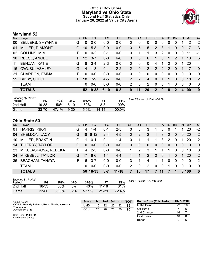### **Official Box Score Maryland vs Ohio State Second Half Statistics Only January 20, 2022 at Value City Arena**



## **Maryland 52**

| No. | Player                  | S. | <b>Pts</b> | <b>FG</b> | 3FG      | <b>FT</b> | <b>OR</b>      | DR            | TR             | <b>PF</b>      | A        | TO            | <b>B</b> lk  | Stl      | Min         | $+/-$          |
|-----|-------------------------|----|------------|-----------|----------|-----------|----------------|---------------|----------------|----------------|----------|---------------|--------------|----------|-------------|----------------|
| 00  | <b>SELLERS, SHYANNE</b> | G  | 0          | $0 - 0$   | $0 - 0$  | $0 - 0$   | 0              | 0             | 0              | 0              | 0        | 0             | $\Omega$     |          | 2           | $-2$           |
| 01  | MILLER, DIAMOND         | G  | 10         | $5 - 8$   | $0 - 0$  | $0 - 0$   | $\overline{0}$ | 5             | 5              | 2              | 3        |               | $\Omega$     | $\Omega$ | 17          | 3              |
| 02  | <b>COLLINS, MIMI</b>    | F. | $\Omega$   | $0 - 2$   | $0 - 1$  | $0-0$     | 0              |               |                | 3              | 2        | $\Omega$      | $\Omega$     | $\Omega$ | 11          | $-1$           |
| 10  | <b>REESE, ANGEL</b>     | F. | 12         | $3 - 7$   | $0 - 0$  | $6 - 6$   | 3              | 3             | 6              | 1              | $\Omega$ | 1             | 2            |          | 13          | 6              |
| 11  | <b>BENZAN, KATIE</b>    | G  | 8          | $3 - 4$   | $2 - 3$  | $0-0$     | 0              | 0             | $\Omega$       | 4              | 1        | $\mathcal{P}$ | $\Omega$     | 1        | 20          | $\overline{4}$ |
| 15  | OWUSU, ASHLEY           | G  | 4          | $1 - 8$   | $0 - 1$  | $2 - 2$   | $\overline{2}$ | 0             | $\overline{2}$ | $\overline{2}$ | 2        | $\mathcal{P}$ | $\Omega$     |          | 17          | $\Omega$       |
| 21  | CHARDON, EMMA           | F. | $\Omega$   | $0 - 0$   | $0 - 0$  | $0-0$     | 0              | $\Omega$      | $\Omega$       | $\Omega$       | $\Omega$ | $\Omega$      | $\Omega$     | $\Omega$ | $\Omega$    | $\Omega$       |
| 55  | <b>BIBBY, CHLOE</b>     | F. | 18         | $7-9$     | $4 - 5$  | $0 - 0$   | $\mathcal{P}$  | $\mathcal{P}$ | 4              | 0              |          |               | $\Omega$     | $\Omega$ | 18          | 2              |
|     | <b>TEAM</b>             |    | $\Omega$   | $0 - 0$   | $0-0$    | $0 - 0$   | 2              | 0             | 2              | $\Omega$       | 0        |               | $\Omega$     | $\Omega$ | $\mathbf 0$ | $\Omega$       |
|     | <b>TOTALS</b>           |    | 52         | 19-38     | $6 - 10$ | $8 - 8$   | 9              | 11            | 20             | $12 \,$        | 9        | 8             | $\mathbf{c}$ | 4        | 100         | $\mathbf{0}$   |

| <b>Shooting By Period</b><br>Period | FG        | FG%   | 3FG      | 3FG%  | FТ        | FT%    | Last FG Half: UMD 4th-00:08 |
|-------------------------------------|-----------|-------|----------|-------|-----------|--------|-----------------------------|
| 2nd Half                            | 19-38     | 50%   | ٬ 6-10   | 60%   | $8 - 8$   | 100%   |                             |
| Game                                | $33 - 70$ | 47.1% | $9 - 20$ | 45.0% | $14 - 14$ | 100.0% |                             |

# **Ohio State 50**

| No. | Player                 | S. | <b>Pts</b> | <b>FG</b> | 3FG     | FT.       | <b>OR</b> | <b>DR</b>   | TR.      | <b>PF</b>     |          | A TO           | <b>BIK</b> | Stl      | Min       | $+/-$        |
|-----|------------------------|----|------------|-----------|---------|-----------|-----------|-------------|----------|---------------|----------|----------------|------------|----------|-----------|--------------|
| 01  | <b>HARRIS, RIKKI</b>   | G  | 4          | 1-4       | $0 - 1$ | $2 - 5$   | 0         | 3           | 3        |               | 3        | 0              |            |          | 20        | $-2$         |
| 04  | <b>SHELDON, JACY</b>   | G. |            | 18 6-12   | $2 - 4$ | $4 - 5$   | $\Omega$  | 2           | 2        | 1             | 3        | $\mathcal{P}$  | $\Omega$   | $\Omega$ | <b>20</b> | $-2$         |
| 10  | MILLER, BRAXTIN        | G  |            | $0 - 1$   | $0 - 1$ | 1-4       | 0         |             |          | 1             | 3        | 2              | $\Omega$   |          | 20        | $-2$         |
| 14  | THIERRY, TAYLOR        | G  | 0          | $0 - 0$   | $0 - 0$ | $0 - 0$   | $\Omega$  | $\Omega$    | $\Omega$ | $\Omega$      | $\Omega$ | $\mathbf{0}$   | $\Omega$   | $\Omega$ | $\Omega$  | 0            |
| 23  | MIKULASIKOVA, REBEKA   | F  | 4          | $2 - 3$   | $0 - 0$ | $0 - 0$   | 1         | 2           | 3        | 1             | 1        | 1              | $\Omega$   | $\Omega$ | 10        | $\Omega$     |
| 24  | MIKESELL, TAYLOR       | G. | 17         | $6 - 6$   | $1 - 1$ | $4 - 4$   |           |             | 2        | $\mathcal{P}$ | $\Omega$ | $\overline{1}$ | $\Omega$   | 1        | <b>20</b> | $-2$         |
| 35  | <b>BEACHAM, TANAYA</b> | F. | 6          | -3-7      | $0 - 0$ | $0 - 0$   | 3         |             | 4        | 1             |          | 0              | $\Omega$   | $\Omega$ | 10        | $-2$         |
|     | <b>TEAM</b>            |    | 0          | $0 - 0$   | $0 - 0$ | $0-0$     | 2         | $\mathbf 0$ | 2        | $\mathbf 0$   | $\Omega$ |                | 0          | $\Omega$ | $\Omega$  | $\Omega$     |
|     | <b>TOTALS</b>          |    | 50.        | 18-33     | $3 - 7$ | $11 - 18$ | 7         | 10          | 17       |               | 11       |                |            | 3        | 100       | $\mathbf{0}$ |

| <b>Shooting By Period</b><br>Period | FG        | FG%   | 3FG     | 3FG%  |           | FT%   |
|-------------------------------------|-----------|-------|---------|-------|-----------|-------|
| 2nd Half                            | 18-33     | 55%   | $3 - 7$ | 43%   | $11 - 18$ | 61%   |
| Game                                | $33 - 60$ | 55.0% | $8-14$  | 57.1% | $21 - 29$ | 72.4% |

*Last FG Half:* OSU 4th-00:29

| Game Notes:                                                   | <b>Score</b> | 1st | 2nd | 3rd | 4th | - тот | <b>Points from (This Period)</b> | <b>UMD OSU</b> |    |
|---------------------------------------------------------------|--------------|-----|-----|-----|-----|-------|----------------------------------|----------------|----|
| Officials: Beverly Roberts, Bruce Morris, Nykesha<br>Thompson | UMD          | 15  | 22  | 20  | 32  | 89    | In the Paint                     |                | 26 |
| Attendance: 3319                                              | OSL          | 25  | 20  | 20  | 30  | 95    | Off Turns                        |                |    |
|                                                               |              |     |     |     |     |       | 2nd Chance                       | 16             |    |
| Start Time: 11:01 PM<br>Conference Game:                      |              |     |     |     |     |       | <b>Fast Break</b>                |                |    |
|                                                               |              |     |     |     |     |       | Bench                            |                |    |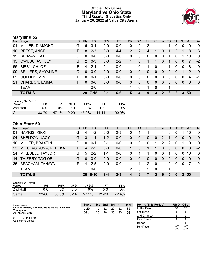### **Official Box Score Maryland vs Ohio State Third Quarter Statistics Only January 20, 2022 at Value City Arena**



# **Maryland 52**

| No. | Player                  | S. | <b>Pts</b>    | FG.      | 3FG     | <b>FT</b> | <b>OR</b>      | <b>DR</b> | <b>TR</b> | <b>PF</b>   | A              | TO       | <b>Blk</b>     | <b>Stl</b>     | Min      | $+/-$       |
|-----|-------------------------|----|---------------|----------|---------|-----------|----------------|-----------|-----------|-------------|----------------|----------|----------------|----------------|----------|-------------|
| 01  | MILLER, DIAMOND         | G  | 6             | $3 - 4$  | $0-0$   | $0 - 0$   | 0              | 2         | 2         |             |                |          | 0              | 0              | 10       | $\mathbf 0$ |
| 10  | <b>REESE, ANGEL</b>     | F. | 8             | $2 - 3$  | $0 - 0$ | $4 - 4$   | $\overline{2}$ | 2         | 4         | 1           | $\overline{0}$ |          | $\overline{2}$ |                | 8        | 3           |
| 11  | <b>BENZAN, KATIE</b>    | G  | $\Omega$      | $0 - 0$  | $0-0$   | $0 - 0$   | 0              | 0         | $\Omega$  | 0           | $\mathbf{0}$   | 1        | $\Omega$       |                | 10       | $\mathbf 0$ |
| 15  | OWUSU, ASHLEY           | G  | $\mathcal{P}$ | $0 - 3$  | $0 - 0$ | $2 - 2$   |                | 0         |           | 1           | $\mathbf{0}$   |          | $\Omega$       | $\overline{0}$ | 7        | $-2$        |
| 55  | <b>BIBBY, CHLOE</b>     | F  | 4             | $2 - 4$  | $0 - 1$ | $0-0$     | 1              | 0         |           | $\Omega$    | 1              | 1        | $\Omega$       | $\mathbf 0$    | 8        | $\Omega$    |
| 00  | <b>SELLERS, SHYANNE</b> | G  | $\Omega$      | $0 - 0$  | $0 - 0$ | $0 - 0$   | 0              | 0         | $\Omega$  | 0           | $\Omega$       | 0        | $\Omega$       |                | 2        | $\Omega$    |
| 02  | <b>COLLINS, MIMI</b>    | F  | $\Omega$      | $0 - 1$  | $0 - 0$ | $0 - 0$   | $\Omega$       | 0         | $\Omega$  | $\Omega$    | $\Omega$       | $\Omega$ | $\Omega$       | 0              | 4        | -1          |
| 21  | CHARDON, EMMA           | F. | $\Omega$      | $0 - 0$  | $0 - 0$ | $0 - 0$   | 0              | $\Omega$  | $\Omega$  | $\Omega$    | $\Omega$       | $\Omega$ | $\Omega$       | $\Omega$       | $\Omega$ | $\Omega$    |
|     | <b>TEAM</b>             |    |               | $0-0$    |         |           |                | 0         |           | $\mathbf 0$ |                | 1        |                |                |          |             |
|     | <b>TOTALS</b>           |    | 20            | $7 - 15$ | $0 - 1$ | $6-6$     | 5              | 4         | 9         | 3           | 2              | 6        | 2              | 3              | 50       |             |

| <b>Shooting By Period</b><br>Period | FG        | FG%   | 3FG      | 3FG%  | FT    | FT%    |
|-------------------------------------|-----------|-------|----------|-------|-------|--------|
| 2nd Half                            | ი-ი       | 0%    | 0-0      | በ%    | ი-ი   | 0%     |
| Game                                | $33 - 70$ | 47.1% | $9 - 20$ | 45.0% | 14-14 | 100.0% |

# **Ohio State 50**

| No. | Player                 | S. | <b>Pts</b> | <b>FG</b> | 3FG     | <b>FT</b> | OR            | <b>DR</b>      | TR.      | <b>PF</b>      | A        | TO.      | <b>Blk</b>   | Stl            | Min   | $+/-$          |
|-----|------------------------|----|------------|-----------|---------|-----------|---------------|----------------|----------|----------------|----------|----------|--------------|----------------|-------|----------------|
| 01  | <b>HARRIS, RIKKI</b>   | G  | 4          | 1-2       | $0 - 0$ | $2 - 3$   | 0             |                |          |                |          |          | 0            |                | 10    | $\mathbf 0$    |
| 04  | SHELDON, JACY          | G  | 3          | $1 - 4$   | $1 - 2$ | $0-0$     | 0             | 0              | $\Omega$ | $\overline{0}$ | 2        |          | 0            | $\overline{0}$ | 10    | $\Omega$       |
| 10  | MILLER, BRAXTIN        | G  | $\Omega$   | $0 - 1$   | $0 - 1$ | $0-0$     | $\Omega$      | 0              | $\Omega$ | 1              | 2        | 2        | $\Omega$     |                | 10    | $\Omega$       |
| 23  | MIKULASIKOVA, REBEKA   | F. | 4          | $2 - 2$   | $0 - 0$ | $0 - 0$   | 1             | $\Omega$       |          | 1              | $\Omega$ | $\Omega$ | $\mathbf{0}$ | $\overline{0}$ | 3     | $-2$           |
| 24  | MIKESELL, TAYLOR       | G  | 5          | $2 - 2$   | $1 - 1$ | $0-0$     | 0             |                |          | 0              | $\Omega$ |          | 0            | 0              | 10    | $\Omega$       |
| 14  | THIERRY, TAYLOR        | G  | $\Omega$   | $0 - 0$   | $0 - 0$ | $0 - 0$   | 0             | $\overline{0}$ | $\Omega$ | $\Omega$       | $\Omega$ | $\Omega$ | 0            | 0              | 0     | $\Omega$       |
| 35  | <b>BEACHAM, TANAYA</b> | F  | 4          | $2 - 5$   | $0 - 0$ | $0-0$     |               |                | 2        | $\Omega$       |          | $\Omega$ | $\Omega$     | 0              |       | $\overline{2}$ |
|     | <b>TEAM</b>            |    |            | $0-0$     |         |           | $\mathcal{P}$ | 0              | 2        | - 0            |          |          |              |                |       |                |
|     | <b>TOTALS</b>          |    | 20.        | 8-16      |         | $2 - 3$   | 4             | 3              |          | 3              | 6        | 5        | 0            |                | 2, 50 |                |

| <b>Shooting By Period</b><br>Period | FG        | FG%   | 3FG      | 3FG%  |           | FT%   |
|-------------------------------------|-----------|-------|----------|-------|-----------|-------|
| 2nd Half                            | 0-0       | ገ%    | ი-ი      | $0\%$ | ი-ი       | 0%    |
| Game                                | $33 - 60$ | 55.0% | $8 - 14$ | 57.1% | $21 - 29$ | 72.4% |

| Game Notes:                                       | <b>Score</b> | 1st | 2nd | 3rd | 4th | <b>- тот</b> | <b>Points (This Period)</b> | UMD | OSU |
|---------------------------------------------------|--------------|-----|-----|-----|-----|--------------|-----------------------------|-----|-----|
| Officials: Beverly Roberts, Bruce Morris, Nykesha | UMD          | 15  | 22  | 20  | 32  | 89           | In the Paint                |     | 12  |
| Thompson<br>Attendance: 3319                      | OSU          | 25  | 20  | 20  | 30  | 95           | Off Turns                   |     |     |
|                                                   |              |     |     |     |     |              | 2nd Chance                  |     |     |
| Start Time: 11:01 PM<br>Conference Game;          |              |     |     |     |     |              | <b>Fast Break</b>           |     |     |

| <b>Points (This Period)</b> | UMD            | <b>OSU</b>    |
|-----------------------------|----------------|---------------|
| In the Paint                | 10             | 12            |
| Off Turns                   |                |               |
| 2nd Chance                  | 8              | 5             |
| <b>Fast Break</b>           | 4              |               |
| Bench                       | n              |               |
| Per Poss                    | 1.053<br>10/19 | 1.000<br>9/20 |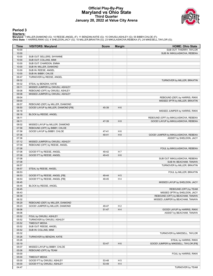#### **Official Play-By-Play Maryland vs Ohio State Third Quarter January 20, 2022 at Value City Arena**



#### **Period 3**

<mark>Starters:</mark><br>Maryland: 1 MILLER,DIAMOND (G); 10 REESE,ANGEL (F); 11 BENZAN,KATIE (G); 15 OWUSU,ASHLEY (G); 55 BIBBY,CHLOE (F);<br>**Ohio State**: 1 HARRIS,RIKKI (G); 4 SHELDON,JACY (G); 10 MILLER,BRAXTIN (G); 23 MIKULASIKOVA,REB

| Time           | <b>VISITORS: Maryland</b>                                      | <b>Score</b> | <b>Margin</b>  | <b>HOME: Ohio State</b>               |
|----------------|----------------------------------------------------------------|--------------|----------------|---------------------------------------|
| 10:00          |                                                                |              |                | SUB OUT: THIERRY, TAYLOR              |
| 10:00          |                                                                |              |                | SUB IN: MIKULASIKOVA, REBEKA          |
| 10:00          | SUB OUT: SELLERS, SHYANNE                                      |              |                |                                       |
| 10:00          | SUB OUT: COLLINS, MIMI                                         |              |                |                                       |
| 10:00          | SUB OUT: CHARDON, EMMA                                         |              |                |                                       |
| 10:00          | SUB IN: MILLER, DIAMOND                                        |              |                |                                       |
| 10:00          | SUB IN: REESE, ANGEL                                           |              |                |                                       |
| 10:00          | SUB IN: BIBBY, CHLOE                                           |              |                |                                       |
| 09:47          | TURNOVER by REESE, ANGEL                                       |              |                |                                       |
| 09:32          |                                                                |              |                | TURNOVER by MILLER, BRAXTIN           |
| 09:32          | STEAL by BENZAN, KATIE                                         |              |                |                                       |
| 09:11          | MISSED JUMPER by OWUSU, ASHLEY                                 |              |                |                                       |
| 09:08          | REBOUND (OFF) by OWUSU, ASHLEY                                 |              |                |                                       |
| 09:08          | MISSED JUMPER by OWUSU, ASHLEY                                 |              |                |                                       |
| 09:04          |                                                                |              |                | REBOUND (DEF) by HARRIS, RIKKI        |
| 09:00          |                                                                |              |                | MISSED 3PTR by MILLER, BRAXTIN        |
| 08:57          | REBOUND (DEF) by MILLER, DIAMOND                               |              |                |                                       |
| 08:50          | GOOD! LAYUP by MILLER, DIAMOND [FB]                            | 45-39        | H <sub>6</sub> |                                       |
| 08:18          |                                                                |              |                | MISSED JUMPER by HARRIS, RIKKI        |
| 08:18          | BLOCK by REESE, ANGEL                                          |              |                |                                       |
| 08:11          |                                                                |              |                | REBOUND (OFF) by MIKULASIKOVA, REBEKA |
| 08:11          |                                                                | 47-39        | H 8            | GOOD! LAYUP by MIKULASIKOVA, REBEKA   |
| 08:02          | MISSED LAYUP by MILLER, DIAMOND                                |              |                |                                       |
| 07:58          | REBOUND (OFF) by BIBBY, CHLOE                                  |              |                |                                       |
| 07:58          | GOOD! LAYUP by BIBBY, CHLOE                                    | 47-41        | H <sub>6</sub> |                                       |
| 07:36          |                                                                | 49-41        | H 8            | GOOD! JUMPER by MIKULASIKOVA, REBEKA  |
| 07:36          |                                                                |              |                | ASSIST by SHELDON, JACY               |
| 07:12          | MISSED JUMPER by OWUSU, ASHLEY                                 |              |                |                                       |
| 07:09          | REBOUND (OFF) by REESE, ANGEL                                  |              |                |                                       |
| 07:08          |                                                                |              |                | FOUL by MIKULASIKOVA, REBEKA          |
| 07:08          | GOOD! FT by REESE, ANGEL                                       | 49-42        | H 7            |                                       |
| 07:08          | GOOD! FT by REESE, ANGEL                                       | 49-43        | H <sub>6</sub> |                                       |
| 07:08          |                                                                |              |                | SUB OUT: MIKULASIKOVA, REBEKA         |
| 07:08          |                                                                |              |                | SUB IN: BEACHAM, TANAYA               |
| 06:57          |                                                                |              |                | TURNOVER by MILLER, BRAXTIN           |
| 06:57<br>06:53 | STEAL by REESE, ANGEL                                          |              |                |                                       |
| 06:53          |                                                                | 49-44        | H <sub>5</sub> | FOUL by MILLER, BRAXTIN               |
| 06:53          | GOOD! FT by REESE, ANGEL [FB]<br>GOOD! FT by REESE, ANGEL [FB] | 49-45        | H4             |                                       |
| 06:45          |                                                                |              |                | MISSED LAYUP by SHELDON, JACY         |
| 06:45          | BLOCK by REESE, ANGEL                                          |              |                |                                       |
| 06:45          |                                                                |              |                | REBOUND (OFF) by TEAM                 |
| 06:43          |                                                                |              |                | MISSED 3PTR by SHELDON, JACY          |
| 06:39          |                                                                |              |                | REBOUND (OFF) by BEACHAM, TANAYA      |
| 06:32          |                                                                |              |                | MISSED JUMPER by BEACHAM, TANAYA      |
| 06:29          | REBOUND (DEF) by MILLER, DIAMOND                               |              |                |                                       |
| 06:23          | GOOD! JUMPER by MILLER, DIAMOND                                | 49-47        | H <sub>2</sub> |                                       |
| 06:06          |                                                                | 51-47        | H4             | GOOD! LAYUP by HARRIS, RIKKI          |
| 06:06          |                                                                |              |                | ASSIST by BEACHAM, TANAYA             |
| 05:52          | FOUL by OWUSU, ASHLEY                                          |              |                |                                       |
| 05:52          | TURNOVER by OWUSU, ASHLEY                                      |              |                |                                       |
| 05:52          | <b>TIMEOUT MEDIA</b>                                           |              |                |                                       |
| 05:52          | SUB OUT: REESE, ANGEL                                          |              |                |                                       |
| 05:52          | SUB IN: COLLINS, MIMI                                          |              |                |                                       |
| 05:32          |                                                                |              |                | TURNOVER by MIKESELL, TAYLOR          |
| 05:26          | TURNOVER by BENZAN, KATIE                                      |              |                |                                       |
| 05:26          |                                                                |              |                | STEAL by HARRIS, RIKKI                |
| 05:19          |                                                                | 53-47        | H <sub>6</sub> | GOOD! JUMPER by MIKESELL, TAYLOR [FB] |
| 05:07          | MISSED LAYUP by BIBBY, CHLOE                                   |              |                |                                       |
| 05:06          | REBOUND (OFF) by TEAM                                          |              |                |                                       |
| 05:00          |                                                                |              |                | FOUL by HARRIS, RIKKI                 |
| 05:00          | <b>TIMEOUT MEDIA</b>                                           |              |                |                                       |
| 05:00          | GOOD! FT by OWUSU, ASHLEY                                      | 53-48        | H <sub>5</sub> |                                       |
| 05:00          | GOOD! FT by OWUSU, ASHLEY                                      | 53-49        | H 4            |                                       |
| 04:47          |                                                                |              |                | TURNOVER by TEAM                      |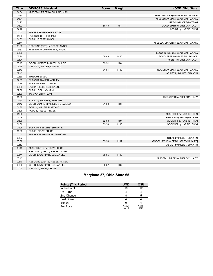| Time  | <b>VISITORS: Maryland</b>       | <b>Score</b> | <b>Margin</b>  | <b>HOME: Ohio State</b>             |
|-------|---------------------------------|--------------|----------------|-------------------------------------|
| 04:34 | MISSED JUMPER by COLLINS, MIMI  |              |                |                                     |
| 04:30 |                                 |              |                | REBOUND (DEF) by MIKESELL, TAYLOR   |
| 04:24 |                                 |              |                | MISSED LAYUP by BEACHAM, TANAYA     |
| 04:23 |                                 |              |                | REBOUND (OFF) by TEAM               |
| 04:22 |                                 | 56-49        | H 7            | GOOD! 3PTR by SHELDON, JACY         |
| 04:22 |                                 |              |                | ASSIST by HARRIS, RIKKI             |
| 04:03 | TURNOVER by BIBBY, CHLOE        |              |                |                                     |
| 04:03 | SUB OUT: COLLINS, MIMI          |              |                |                                     |
| 04:03 | SUB IN: REESE, ANGEL            |              |                |                                     |
| 03:41 |                                 |              |                | MISSED JUMPER by BEACHAM, TANAYA    |
| 03:38 | REBOUND (DEF) by REESE, ANGEL   |              |                |                                     |
| 03:32 | MISSED LAYUP by REESE, ANGEL    |              |                |                                     |
| 03:29 |                                 |              |                | REBOUND (DEF) by BEACHAM, TANAYA    |
| 03:24 |                                 | 59-49        | H 10           | GOOD! 3PTR by MIKESELL, TAYLOR      |
| 03:24 |                                 |              |                | ASSIST by SHELDON, JACY             |
| 03:15 | GOOD! JUMPER by BIBBY, CHLOE    | 59-51        | H 8            |                                     |
| 03:15 | ASSIST by MILLER, DIAMOND       |              |                |                                     |
| 02:43 |                                 | 61-51        | H 10           | GOOD! LAYUP by BEACHAM, TANAYA      |
| 02:43 |                                 |              |                | ASSIST by MILLER, BRAXTIN           |
| 02:39 | TIMEOUT 30SEC                   |              |                |                                     |
| 02:39 | SUB OUT: OWUSU, ASHLEY          |              |                |                                     |
| 02:39 | SUB OUT: BIBBY, CHLOE           |              |                |                                     |
| 02:39 | SUB IN: SELLERS, SHYANNE        |              |                |                                     |
| 02:39 | SUB IN: COLLINS, MIMI           |              |                |                                     |
| 02:09 | TURNOVER by TEAM                |              |                |                                     |
| 01:50 |                                 |              |                | TURNOVER by SHELDON, JACY           |
| 01:50 | STEAL by SELLERS, SHYANNE       |              |                |                                     |
| 01:42 | GOOD! JUMPER by MILLER, DIAMOND | 61-53        | H 8            |                                     |
| 01:30 | FOUL by MILLER, DIAMOND         |              |                |                                     |
| 01:06 | FOUL by REESE, ANGEL            |              |                |                                     |
| 01:06 |                                 |              |                | MISSED FT by HARRIS, RIKKI          |
| 01:06 |                                 |              |                | REBOUND (DEADB) by TEAM             |
| 01:06 |                                 | 62-53        | H <sub>9</sub> | GOOD! FT by HARRIS, RIKKI           |
| 01:06 |                                 | 63-53        | H 10           | GOOD! FT by HARRIS, RIKKI           |
| 01:06 | SUB OUT: SELLERS, SHYANNE       |              |                |                                     |
| 01:06 | SUB IN: BIBBY, CHLOE            |              |                |                                     |
| 00:57 | TURNOVER by MILLER, DIAMOND     |              |                |                                     |
| 00:57 |                                 |              |                | STEAL by MILLER, BRAXTIN            |
| 00:52 |                                 | 65-53        | H 12           | GOOD! LAYUP by BEACHAM, TANAYA [FB] |
| 00:52 |                                 |              |                | ASSIST by MILLER, BRAXTIN           |
| 00:45 | MISSED 3PTR by BIBBY, CHLOE     |              |                |                                     |
| 00:41 | REBOUND (OFF) by REESE, ANGEL   |              |                |                                     |
| 00:41 | GOOD! LAYUP by REESE, ANGEL     | 65-55        | H 10           |                                     |
| 00:13 |                                 |              |                | MISSED JUMPER by SHELDON, JACY      |
| 00:10 | REBOUND (DEF) by REESE, ANGEL   |              |                |                                     |
| 00:00 | GOOD! LAYUP by REESE, ANGEL     | 65-57        | H 8            |                                     |
| 00:00 | ASSIST by BIBBY, CHLOE          |              |                |                                     |

# **Maryland 57, Ohio State 65**

| <b>Points (This Period)</b> | <b>UMD</b>     | OSU           |
|-----------------------------|----------------|---------------|
| In the Paint                | 10             | 12            |
| Off Turns                   |                |               |
| 2nd Chance                  |                | 5             |
| <b>Fast Break</b>           |                |               |
| Bench                       |                |               |
| Per Poss                    | 1.053<br>10/19 | 1.000<br>9/20 |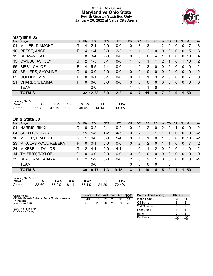### **Official Box Score Maryland vs Ohio State Fourth Quarter Statistics Only January 20, 2022 at Value City Arena**



# **Maryland 32**

| No. | Player                                                                | S. | <b>Pts</b>    | <b>FG</b> | 3FG     | <b>FT</b> | <b>OR</b> | <b>DR</b> | TR             | <b>PF</b> | A        | TO          | <b>BIK</b> | <b>Stl</b>     | Min      | $+/-$          |
|-----|-----------------------------------------------------------------------|----|---------------|-----------|---------|-----------|-----------|-----------|----------------|-----------|----------|-------------|------------|----------------|----------|----------------|
| 01  | MILLER, DIAMOND                                                       | G  | 4             | $2 - 4$   | $0 - 0$ | $0-0$     | 0         | 3         | 3              |           | 2        | 0           | 0          | 0              | 7        | 3              |
| 10  | <b>REESE, ANGEL</b>                                                   | F. | 4             | $1 - 4$   | $0-0$   | $2 - 2$   |           |           | $\overline{2}$ | 0         | 0        | 0           | 0          | 0              | 5        | $\mathbf{3}$   |
| 11  | <b>BENZAN, KATIE</b>                                                  | G  | 8             | $3 - 4$   | $2 - 3$ | $0-0$     | 0         | 0         | $\Omega$       | 4         |          |             | 0          | 0              | 10       | $\overline{4}$ |
| 15  | OWUSU, ASHLEY                                                         | G  | $\mathcal{P}$ | $1 - 5$   | $0 - 1$ | $0-0$     |           | $\Omega$  |                |           | 2        |             | 0          |                | 10       | 2              |
| 55  | <b>BIBBY, CHLOE</b>                                                   | F. | 14            | $5 - 5$   | $4 - 4$ | $0-0$     | 1         | 2         | 3              | 0         | $\Omega$ | $\Omega$    | $\Omega$   | $\Omega$       | 10       | $\overline{2}$ |
| 00  | <b>SELLERS, SHYANNE</b>                                               | G  | $\mathbf{0}$  | $0-0$     | $0-0$   | $0 - 0$   | $\Omega$  | $\Omega$  | $\Omega$       | $\Omega$  | $\Omega$ | $\Omega$    | $\Omega$   | $\overline{0}$ | $\Omega$ | $-2$           |
| 02  | <b>COLLINS, MIMI</b>                                                  | F  | 0             | $0 - 1$   | $0 - 1$ | $0-0$     | $\Omega$  | 1         | 1              | 3         | 2        | $\Omega$    | $\Omega$   | $\Omega$       | 7        | 0              |
| 21  | CHARDON, EMMA                                                         | F. | 0             | $0-0$     | $0 - 0$ | $0-0$     | $\Omega$  | $\Omega$  | $\Omega$       | $\Omega$  | $\Omega$ | 0           | 0          | $\Omega$       | $\Omega$ | $\mathbf 0$    |
|     | <b>TEAM</b>                                                           |    |               | $0-0$     |         |           | 1         | 0         | 1              | 0         |          | 0           |            |                |          |                |
|     | <b>TOTALS</b>                                                         |    |               | 32 12-23  | $6-9$   | $2 - 2$   | 4         | 7         | 11             | 9         | 7        | $\mathbf 2$ | 0          | 1              | 50       |                |
|     | <b>Shooting By Period</b><br>---<br>--<br>---<br>$- - - -$<br>$- - -$ |    |               |           |         |           |           |           |                |           |          |             |            |                |          |                |

| Period | FG%                    | 3FG. | 3FG% |         | FT%    |
|--------|------------------------|------|------|---------|--------|
| Game   | 33-70 47.1% 9-20 45.0% |      |      | - 14-14 | 100.0% |

# **Ohio State 30**

| No. | Player                 | <sub>S</sub> | <b>Pts</b> | FG.      | 3FG     | <b>FT</b> | <b>OR</b>     | DR       | <b>TR</b>     | <b>PF</b>     | $\mathsf{A}$ | TO       | <b>Blk</b> | Stl      | Min | $+/-$    |
|-----|------------------------|--------------|------------|----------|---------|-----------|---------------|----------|---------------|---------------|--------------|----------|------------|----------|-----|----------|
| 01  | <b>HARRIS, RIKKI</b>   | G            | 0          | $0 - 2$  | $0 - 1$ | $0 - 2$   | 0             | 2        | 2             | 0             | 2            |          |            |          | 10  | $-2$     |
| 04  | <b>SHELDON, JACY</b>   | G            | 15         | $5-8$    | $1 - 2$ | $4 - 5$   | 0             | 2        | 2             |               |              |          | 0          | $\Omega$ | 10  | $-2$     |
| 10  | MILLER, BRAXTIN        | G            |            | $0-0$    | $0 - 0$ | 1-4       | 0             |          |               | $\Omega$      | 1            | $\Omega$ | 0          | 0        | 10  | $-2$     |
| 23  | MIKULASIKOVA, REBEKA   | F.           | $\Omega$   | $0 - 1$  | $0 - 0$ | $0-0$     | 0             | 2        | 2             | $\Omega$      | 1            |          | 0          | $\Omega$ |     | 2        |
| 24  | MIKESELL, TAYLOR       | G            | 12         | $4 - 4$  | $0 - 0$ | $4 - 4$   |               | $\Omega$ |               | $\mathcal{P}$ | $\Omega$     | $\Omega$ | $\Omega$   |          | 10  | $-2$     |
| 14  | THIERRY, TAYLOR        | G            | $\Omega$   | $0 - 0$  | $0 - 0$ | $0-0$     | 0             | 0        | $\Omega$      | $\Omega$      | $\Omega$     | $\Omega$ | 0          | $\Omega$ | 0   | $\Omega$ |
| 35  | <b>BEACHAM, TANAYA</b> | F.           | 2          | $1 - 2$  | $0 - 0$ | $0-0$     | $\mathcal{P}$ | $\Omega$ | $\mathcal{P}$ |               | 0            | $\Omega$ | $\Omega$   | 0        | 3   | $-4$     |
|     | <b>TEAM</b>            |              |            | $0 - 0$  |         |           | 0             | $\Omega$ | $\Omega$      | 0             |              | 0        |            |          |     |          |
|     | <b>TOTALS</b>          |              |            | 30 10-17 | $1 - 3$ | $9 - 15$  | 3             |          | 10            | 4             | 5            | 2        |            |          | 50  |          |

| <b>Shooting By Period</b> |       |            |     |             |  |       |  |  |  |  |
|---------------------------|-------|------------|-----|-------------|--|-------|--|--|--|--|
| Period                    | FG    | FG%        | 3FG | 3FG%        |  | FT%   |  |  |  |  |
| Game                      | 33-60 | 55.0% 8-14 |     | 57.1% 21-29 |  | 72.4% |  |  |  |  |

| Game Notes:                                                   | <b>Score</b> |    | 1st 2nd | 3rd | 4th | тот | <b>Points (This Period)</b> | <b>UMD</b>    | <b>OSU</b>    |
|---------------------------------------------------------------|--------------|----|---------|-----|-----|-----|-----------------------------|---------------|---------------|
| Officials: Beverly Roberts, Bruce Morris, Nykesha<br>Thompson | UMD          | 15 | 22      | 20  | 32  | 89  | In the Paint                |               | 14            |
| Attendance: 3319                                              | OSU          | 25 | 20      | 20  | 30  | 95  | Off Turns                   |               |               |
|                                                               |              |    |         |     |     |     | 2nd Chance                  |               | ົ             |
| Start Time: 11:01 PM<br>Conference Game:                      |              |    |         |     |     |     | <b>Fast Break</b>           |               |               |
|                                                               |              |    |         |     |     |     | Bench                       |               |               |
|                                                               |              |    |         |     |     |     | Per Poss                    | .391<br>13/23 | .364<br>15/22 |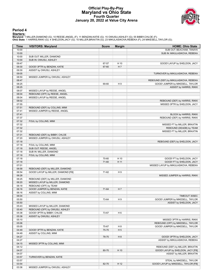#### **Official Play-By-Play Maryland vs Ohio State Fourth Quarter January 20, 2022 at Value City Arena**



#### **Period 4**

<mark>Starters:</mark><br>Maryland: 1 MILLER,DIAMOND (G); 10 REESE,ANGEL (F); 11 BENZAN,KATIE (G); 15 OWUSU,ASHLEY (G); 55 BIBBY,CHLOE (F);<br>**Ohio State**: 1 HARRIS,RIKKI (G); 4 SHELDON,JACY (G); 10 MILLER,BRAXTIN (G); 23 MIKULASIKOVA,REB

| <b>Time</b> | <b>VISITORS: Maryland</b>           | <b>Score</b> | <b>Margin</b>  | <b>HOME: Ohio State</b>               |
|-------------|-------------------------------------|--------------|----------------|---------------------------------------|
| 10:00       |                                     |              |                | SUB OUT: BEACHAM, TANAYA              |
| 10:00       |                                     |              |                | SUB IN: MIKULASIKOVA, REBEKA          |
| 10:00       | SUB OUT: MILLER, DIAMOND            |              |                |                                       |
| 10:00       | SUB IN: OWUSU, ASHLEY               |              |                |                                       |
| 09:47       |                                     | 67-57        | H 10           | GOOD! LAYUP by SHELDON, JACY          |
| 09:30       | GOOD! 3PTR by BENZAN, KATIE         | 67-60        | H 7            |                                       |
| 09:30       | ASSIST by OWUSU, ASHLEY             |              |                |                                       |
| 09:05       |                                     |              |                | TURNOVER by MIKULASIKOVA, REBEKA      |
| 08:50       | MISSED JUMPER by OWUSU, ASHLEY      |              |                |                                       |
| 08:47       |                                     |              |                | REBOUND (DEF) by MIKULASIKOVA, REBEKA |
| 08:25       |                                     | 69-60        | H 9            | GOOD! JUMPER by MIKESELL, TAYLOR      |
| 08:25       |                                     |              |                | ASSIST by HARRIS, RIKKI               |
| 08:07       | MISSED LAYUP by REESE, ANGEL        |              |                |                                       |
| 08:04       | REBOUND (OFF) by REESE, ANGEL       |              |                |                                       |
| 08:04       | MISSED LAYUP by REESE, ANGEL        |              |                |                                       |
| 08:02       |                                     |              |                | REBOUND (DEF) by HARRIS, RIKKI        |
| 07:55       |                                     |              |                | MISSED 3PTR by SHELDON, JACY          |
| 07:51       | REBOUND (DEF) by COLLINS, MIMI      |              |                |                                       |
| 07:41       | MISSED JUMPER by REESE, ANGEL       |              |                |                                       |
| 07:41       |                                     |              |                | BLOCK by HARRIS, RIKKI                |
| 07:37       |                                     |              |                | REBOUND (DEF) by HARRIS, RIKKI        |
| 07:32       | FOUL by COLLINS, MIMI               |              |                |                                       |
| 07:32       |                                     |              |                | MISSED FT by MILLER, BRAXTIN          |
| 07:32       |                                     |              |                |                                       |
|             |                                     |              |                | REBOUND (DEADB) by TEAM               |
| 07:32       |                                     |              |                | MISSED FT by MILLER, BRAXTIN          |
| 07:31       | REBOUND (DEF) by BIBBY, CHLOE       |              |                |                                       |
| 07:20       | MISSED JUMPER by OWUSU, ASHLEY      |              |                |                                       |
| 07:18       |                                     |              |                | REBOUND (DEF) by SHELDON, JACY        |
| 07:18       | FOUL by COLLINS, MIMI               |              |                |                                       |
| 07:18       | SUB OUT: REESE, ANGEL               |              |                |                                       |
| 07:18       | SUB IN: MILLER, DIAMOND             |              |                |                                       |
| 07:18       | FOUL by COLLINS, MIMI               |              |                |                                       |
| 07:18       |                                     | 70-60        | H 10           | GOOD! FT by SHELDON, JACY             |
| 07:18       |                                     | 71-60        | H 11           | GOOD! FT by SHELDON, JACY             |
| 07:01       |                                     |              |                | MISSED LAYUP by MIKULASIKOVA, REBEKA  |
| 06:58       | REBOUND (DEF) by MILLER, DIAMOND    |              |                |                                       |
| 06:54       | GOOD! LAYUP by MILLER, DIAMOND [FB] | 71-62        | H9             |                                       |
| 06:28       |                                     |              |                | MISSED JUMPER by HARRIS, RIKKI        |
| 06:25       | REBOUND (DEF) by MILLER, DIAMOND    |              |                |                                       |
| 06:20       | MISSED LAYUP by MILLER, DIAMOND     |              |                |                                       |
| 06:18       | REBOUND (OFF) by TEAM               |              |                |                                       |
| 06:16       | GOOD! JUMPER by BENZAN, KATIE       | 71-64        | H <sub>7</sub> |                                       |
| 06:16       | ASSIST by COLLINS, MIMI             |              |                |                                       |
| 06:04       |                                     |              |                | <b>TIMEOUT 30SEC</b>                  |
| 05:50       |                                     | 73-64        | H 9            | GOOD! JUMPER by MIKESELL, TAYLOR      |
| 05:50       |                                     |              |                | ASSIST by SHELDON, JACY               |
| 05:43       | MISSED LAYUP by MILLER, DIAMOND     |              |                |                                       |
| 05:40       | REBOUND (OFF) by OWUSU, ASHLEY      |              |                |                                       |
| 05:38       | GOOD! 3PTR by BIBBY, CHLOE          | 73-67        | H <sub>6</sub> |                                       |
| 05:38       | ASSIST by OWUSU, ASHLEY             |              |                |                                       |
| 05:10       |                                     |              |                | MISSED 3PTR by HARRIS, RIKKI          |
| 05:06       |                                     |              |                | REBOUND (OFF) by MIKESELL, TAYLOR     |
| 05:05       |                                     | 75-67        | H <sub>8</sub> | GOOD! JUMPER by MIKESELL, TAYLOR      |
| 04:49       | GOOD! 3PTR by BENZAN, KATIE         | 75-70        | H <sub>5</sub> |                                       |
| 04:49       | ASSIST by COLLINS, MIMI             |              |                |                                       |
| 04:27       |                                     | 78-70        | H 8            | GOOD! 3PTR by SHELDON, JACY           |
|             |                                     |              |                |                                       |
| 04:27       |                                     |              |                | ASSIST by MIKULASIKOVA, REBEKA        |
| 04:15       | MISSED 3PTR by COLLINS, MIMI        |              |                |                                       |
| 04:12       |                                     |              |                | REBOUND (DEF) by MILLER, BRAXTIN      |
| 04:07       |                                     | 80-70        | H 10           | GOOD! LAYUP by SHELDON, JACY [FB]     |
| 04:07       |                                     |              |                | ASSIST by MILLER, BRAXTIN             |
| 03:57       | TURNOVER by BENZAN, KATIE           |              |                |                                       |
| 03:57       |                                     |              |                | STEAL by MIKESELL, TAYLOR             |
| 03:54       |                                     | 82-70        | H 12           | GOOD! LAYUP by MIKESELL, TAYLOR [FB]  |
| 03:36       | MISSED JUMPER by OWUSU, ASHLEY      |              |                |                                       |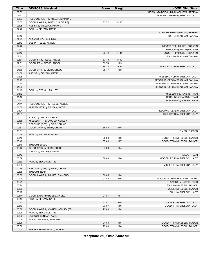| Time  | <b>VISITORS: Maryland</b>         | <b>Score</b> | <b>Margin</b>  | <b>HOME: Ohio State</b>               |
|-------|-----------------------------------|--------------|----------------|---------------------------------------|
| 03:33 |                                   |              |                | REBOUND (DEF) by MIKULASIKOVA, REBEKA |
| 03:12 |                                   |              |                | MISSED JUMPER by SHELDON, JACY        |
| 03:07 | REBOUND (DEF) by MILLER, DIAMOND  |              |                |                                       |
| 03:05 | GOOD! LAYUP by BIBBY, CHLOE [FB]  | 82-72        | H 10           |                                       |
| 03:05 | ASSIST by MILLER, DIAMOND         |              |                |                                       |
| 02:42 | FOUL by BENZAN, KATIE             |              |                |                                       |
| 02:42 |                                   |              |                | SUB OUT: MIKULASIKOVA, REBEKA         |
| 02:42 |                                   |              |                | SUB IN: BEACHAM, TANAYA               |
| 02:42 | SUB OUT: COLLINS, MIMI            |              |                |                                       |
| 02:42 | SUB IN: REESE, ANGEL              |              |                |                                       |
| 02:42 |                                   |              |                | MISSED FT by MILLER, BRAXTIN          |
| 02:42 |                                   |              |                | REBOUND (DEADB) by TEAM               |
| 02:42 |                                   | 83-72        | H 11           | GOOD! FT by MILLER, BRAXTIN           |
| 02:31 |                                   |              |                | FOUL by BEACHAM, TANAYA               |
| 02:31 | GOOD! FT by REESE, ANGEL          | 83-73        | H 10           |                                       |
| 02:31 | GOOD! FT by REESE, ANGEL          | 83-74        | H9             |                                       |
| 02:13 |                                   | 85-74        | H 11           |                                       |
|       |                                   |              |                | GOOD! LAYUP by SHELDON, JACY          |
| 01:58 | GOOD! 3PTR by BIBBY, CHLOE        | 85-77        | H <sub>8</sub> |                                       |
| 01:58 | ASSIST by BENZAN, KATIE           |              |                |                                       |
| 01:28 |                                   |              |                | MISSED LAYUP by SHELDON, JACY         |
| 01:25 |                                   |              |                | REBOUND (OFF) by BEACHAM, TANAYA      |
| 01:25 |                                   |              |                | MISSED LAYUP by BEACHAM, TANAYA       |
| 01:23 |                                   |              |                | REBOUND (OFF) by BEACHAM, TANAYA      |
| 01:12 | FOUL by OWUSU, ASHLEY             |              |                |                                       |
| 01:12 |                                   |              |                | MISSED FT by HARRIS, RIKKI            |
| 01:12 |                                   |              |                | REBOUND (DEADB) by TEAM               |
| 01:12 |                                   |              |                | MISSED FT by HARRIS, RIKKI            |
| 01:11 | REBOUND (DEF) by REESE, ANGEL     |              |                |                                       |
| 01:07 | MISSED 3PTR by BENZAN, KATIE      |              |                |                                       |
| 01:04 |                                   |              |                | REBOUND (DEF) by SHELDON, JACY        |
| 01:01 |                                   |              |                | TURNOVER by SHELDON, JACY             |
| 01:01 | STEAL by OWUSU, ASHLEY            |              |                |                                       |
| 00:55 | MISSED 3PTR by OWUSU, ASHLEY      |              |                |                                       |
| 00:53 | REBOUND (OFF) by BIBBY, CHLOE     |              |                |                                       |
| 00:51 | GOOD! 3PTR by BIBBY, CHLOE        | 85-80        | H <sub>5</sub> |                                       |
| 00:51 |                                   |              |                | TIMEOUT 30SEC                         |
| 00:46 | FOUL by MILLER, DIAMOND           |              |                |                                       |
| 00:46 |                                   | 86-80        | H <sub>6</sub> | GOOD! FT by MIKESELL, TAYLOR          |
| 00:46 |                                   | 87-80        | H 7            | GOOD! FT by MIKESELL, TAYLOR          |
| 00:46 | TIMEOUT 30SEC                     |              |                |                                       |
| 00:42 | GOOD! 3PTR by BIBBY, CHLOE        | 87-83        | H4             |                                       |
| 00:42 | ASSIST by MILLER, DIAMOND         |              |                |                                       |
| 00:42 |                                   |              |                | <b>TIMEOUT TEAM</b>                   |
| 00:39 |                                   | 89-83        | H <sub>6</sub> | GOOD! LAYUP by SHELDON, JACY          |
| 00:39 | FOUL by BENZAN, KATIE             |              |                |                                       |
| 00:39 |                                   |              |                | MISSED FT by SHELDON, JACY            |
| 00:38 | REBOUND (DEF) by BIBBY, CHLOE     |              |                |                                       |
| 00:38 | <b>TIMEOUT TEAM</b>               |              |                |                                       |
| 00:32 | GOOD! LAYUP by MILLER, DIAMOND    | 89-85        | H4             |                                       |
| 00:29 |                                   | 91-85        | H <sub>6</sub> | GOOD! LAYUP by BEACHAM, TANAYA        |
| 00:29 |                                   |              |                | ASSIST by HARRIS, RIKKI               |
|       |                                   |              |                | FOUL by MIKESELL, TAYLOR              |
| 00:24 |                                   |              |                |                                       |
| 00:20 |                                   |              |                | FOUL by MIKESELL, TAYLOR              |
| 00:17 |                                   |              |                | FOUL by SHELDON, JACY                 |
| 00:14 | GOOD! LAYUP by REESE, ANGEL       | 91-87        | H4             |                                       |
| 00:13 | FOUL by BENZAN, KATIE             |              |                |                                       |
| 00:13 |                                   | 92-87        | H <sub>5</sub> | GOOD! FT by SHELDON, JACY             |
| 00:13 |                                   | 93-87        | H <sub>6</sub> | GOOD! FT by SHELDON, JACY             |
| 00:08 | GOOD! LAYUP by OWUSU, ASHLEY [FB] | 93-89        | H4             |                                       |
| 00:06 | FOUL by BENZAN, KATIE             |              |                |                                       |
| 00:06 | SUB OUT: BENZAN, KATIE            |              |                |                                       |
| 00:06 | SUB IN: SELLERS, SHYANNE          |              |                |                                       |
| 00:06 |                                   | 94-89        | H <sub>5</sub> | GOOD! FT by MIKESELL, TAYLOR          |
| 00:06 |                                   | 95-89        | H <sub>6</sub> | GOOD! FT by MIKESELL, TAYLOR          |
| 00:00 | TURNOVER by OWUSU, ASHLEY         |              |                |                                       |

**Maryland 89, Ohio State 95**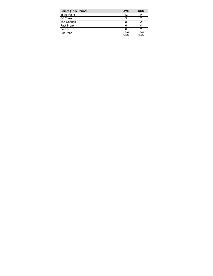| <b>Points (This Period)</b> | <b>UMD</b>     | OSU            |
|-----------------------------|----------------|----------------|
| In the Paint                | 12             | 14             |
| Off Turns                   |                |                |
| 2nd Chance                  |                |                |
| <b>Fast Break</b>           | 6              |                |
| Bench                       |                |                |
| Per Poss                    | 1.391<br>13/23 | 1.364<br>15/22 |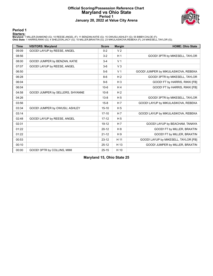### **Official Scoring/Possession Reference Chart Maryland vs Ohio State Period 1 January 20, 2022 at Value City Arena**



**Period 1**

<mark>Starters:</mark><br>Maryland: 1 MILLER,DIAMOND (G); 10 REESE,ANGEL (F); 11 BENZAN,KATIE (G); 15 OWUSU,ASHLEY (G); 55 BIBBY,CHLOE (F);<br>**Ohio State**: 1 HARRIS,RIKKI (G); 4 SHELDON,JACY (G); 10 MILLER,BRAXTIN (G); 23 MIKULASIKOVA,REB

| <b>Time</b> | <b>VISITORS: Maryland</b>        | <b>Score</b> | <b>Margin</b>  | <b>HOME: Ohio State</b>              |
|-------------|----------------------------------|--------------|----------------|--------------------------------------|
| 09:09       | GOOD! LAYUP by REESE, ANGEL      | $0 - 2$      | V <sub>2</sub> |                                      |
| 08:56       |                                  | $3-2$        | H <sub>1</sub> | GOOD! 3PTR by MIKESELL, TAYLOR       |
| 08:00       | GOOD! JUMPER by BENZAN, KATIE    | $3 - 4$      | V <sub>1</sub> |                                      |
| 07:07       | GOOD! LAYUP by REESE, ANGEL      | $3-6$        | V <sub>3</sub> |                                      |
| 06:50       |                                  | $5-6$        | V <sub>1</sub> | GOOD! JUMPER by MIKULASIKOVA, REBEKA |
| 06:28       |                                  | $8-6$        | H <sub>2</sub> | GOOD! 3PTR by MIKESELL, TAYLOR       |
| 06:04       |                                  | $9-6$        | $H_3$          | GOOD! FT by HARRIS, RIKKI [FB]       |
| 06:04       |                                  | $10-6$       | H <sub>4</sub> | GOOD! FT by HARRIS, RIKKI [FB]       |
| 04:58       | GOOD! JUMPER by SELLERS, SHYANNE | $10-8$       | H <sub>2</sub> |                                      |
| 04:26       |                                  | $13 - 8$     | H <sub>5</sub> | GOOD! 3PTR by MIKESELL, TAYLOR       |
| 03:56       |                                  | $15 - 8$     | H <sub>7</sub> | GOOD! LAYUP by MIKULASIKOVA, REBEKA  |
| 03:34       | GOOD! JUMPER by OWUSU, ASHLEY    | $15 - 10$    | H <sub>5</sub> |                                      |
| 03:14       |                                  | $17 - 10$    | H 7            | GOOD! LAYUP by MIKULASIKOVA, REBEKA  |
| 02:48       | GOOD! LAYUP by REESE, ANGEL      | $17 - 12$    | H <sub>5</sub> |                                      |
| 02:31       |                                  | $19 - 12$    | H 7            | GOOD! LAYUP by BEACHAM, TANAYA       |
| 01:22       |                                  | $20 - 12$    | H 8            | GOOD! FT by MILLER, BRAXTIN          |
| 01:22       |                                  | $21 - 12$    | H9             | GOOD! FT by MILLER, BRAXTIN          |
| 00:53       |                                  | $23 - 12$    | H 11           | GOOD! LAYUP by MIKESELL, TAYLOR [FB] |
| 00:10       |                                  | $25 - 12$    | H 13           | GOOD! JUMPER by MILLER, BRAXTIN      |
| 00:00       | GOOD! 3PTR by COLLINS, MIMI      | $25 - 15$    | H 10           |                                      |

**Maryland 15, Ohio State 25**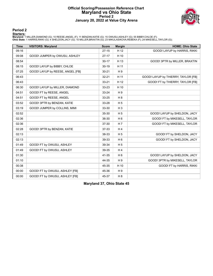### **Official Scoring/Possession Reference Chart Maryland vs Ohio State Period 2 January 20, 2022 at Value City Arena**



**Period 2**

<mark>Starters:</mark><br>Maryland: 1 MILLER,DIAMOND (G); 10 REESE,ANGEL (F); 11 BENZAN,KATIE (G); 15 OWUSU,ASHLEY (G); 55 BIBBY,CHLOE (F);<br>**Ohio State**: 1 HARRIS,RIKKI (G); 4 SHELDON,JACY (G); 10 MILLER,BRAXTIN (G); 23 MIKULASIKOVA,REB

| <b>Time</b> | <b>VISITORS: Maryland</b>        | <b>Score</b> | <b>Margin</b>  | <b>HOME: Ohio State</b>             |
|-------------|----------------------------------|--------------|----------------|-------------------------------------|
| 09:16       |                                  | $27 - 15$    | H 12           | GOOD! LAYUP by HARRIS, RIKKI        |
| 09:08       | GOOD! JUMPER by OWUSU, ASHLEY    | $27-17$      | H 10           |                                     |
| 08:54       |                                  | $30 - 17$    | H 13           | GOOD! 3PTR by MILLER, BRAXTIN       |
| 08:15       | GOOD! LAYUP by BIBBY, CHLOE      | $30 - 19$    | H 11           |                                     |
| 07:25       | GOOD! LAYUP by REESE, ANGEL [FB] | $30 - 21$    | H9             |                                     |
| 06:43       |                                  | $32 - 21$    | H 11           | GOOD! LAYUP by THIERRY, TAYLOR [FB] |
| 06:43       |                                  | $33 - 21$    | H 12           | GOOD! FT by THIERRY, TAYLOR [FB]    |
| 06:30       | GOOD! LAYUP by MILLER, DIAMOND   | 33-23        | H 10           |                                     |
| 04:51       | GOOD! FT by REESE, ANGEL         | 33-24        | H9             |                                     |
| 04:51       | GOOD! FT by REESE, ANGEL         | 33-25        | H <sub>8</sub> |                                     |
| 03:52       | GOOD! 3PTR by BENZAN, KATIE      | 33-28        | H <sub>5</sub> |                                     |
| 03:19       | GOOD! JUMPER by COLLINS, MIMI    | 33-30        | $H_3$          |                                     |
| 02:52       |                                  | 35-30        | H <sub>5</sub> | GOOD! LAYUP by SHELDON, JACY        |
| 02:36       |                                  | 36-30        | H <sub>6</sub> | GOOD! FT by MIKESELL, TAYLOR        |
| 02:36       |                                  | 37-30        | H <sub>7</sub> | GOOD! FT by MIKESELL, TAYLOR        |
| 02:28       | GOOD! 3PTR by BENZAN, KATIE      | 37-33        | H <sub>4</sub> |                                     |
| 02:13       |                                  | 38-33        | H <sub>5</sub> | GOOD! FT by SHELDON, JACY           |
| 02:13       |                                  | 39-33        | H <sub>6</sub> | GOOD! FT by SHELDON, JACY           |
| 01:49       | GOOD! FT by OWUSU, ASHLEY        | 39-34        | H <sub>5</sub> |                                     |
| 01:49       | GOOD! FT by OWUSU, ASHLEY        | 39-35        | H4             |                                     |
| 01:30       |                                  | 41-35        | H <sub>6</sub> | GOOD! LAYUP by SHELDON, JACY        |
| 01:10       |                                  | 44-35        | H9             | GOOD! 3PTR by MIKESELL, TAYLOR      |
| 00:38       |                                  | 45-35        | H 10           | GOOD! FT by HARRIS, RIKKI           |
| 00:00       | GOOD! FT by OWUSU, ASHLEY [FB]   | 45-36        | H9             |                                     |
| 00:00       | GOOD! FT by OWUSU, ASHLEY [FB]   | 45-37        | H <sub>8</sub> |                                     |

**Maryland 37, Ohio State 45**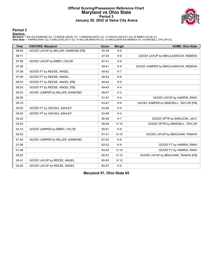### **Official Scoring/Possession Reference Chart Maryland vs Ohio State Period 3 January 20, 2022 at Value City Arena**



#### **Period 3**

<mark>Starters:</mark><br>Maryland: 1 MILLER,DIAMOND (G); 10 REESE,ANGEL (F); 11 BENZAN,KATIE (G); 15 OWUSU,ASHLEY (G); 55 BIBBY,CHLOE (F);<br>**Ohio State**: 1 HARRIS,RIKKI (G); 4 SHELDON,JACY (G); 10 MILLER,BRAXTIN (G); 23 MIKULASIKOVA,REB

| <b>Time</b> | <b>VISITORS: Maryland</b>           | <b>Score</b> | <b>Margin</b>  | <b>HOME: Ohio State</b>               |
|-------------|-------------------------------------|--------------|----------------|---------------------------------------|
| 08:50       | GOOD! LAYUP by MILLER, DIAMOND [FB] | 45-39        | H <sub>6</sub> |                                       |
| 08:11       |                                     | 47-39        | H 8            | GOOD! LAYUP by MIKULASIKOVA, REBEKA   |
| 07:58       | GOOD! LAYUP by BIBBY, CHLOE         | 47-41        | H <sub>6</sub> |                                       |
| 07:36       |                                     | 49-41        | H <sub>8</sub> | GOOD! JUMPER by MIKULASIKOVA, REBEKA  |
| 07:08       | GOOD! FT by REESE, ANGEL            | 49-42        | H <sub>7</sub> |                                       |
| 07:08       | GOOD! FT by REESE, ANGEL            | 49-43        | H <sub>6</sub> |                                       |
| 06:53       | GOOD! FT by REESE, ANGEL [FB]       | 49-44        | H <sub>5</sub> |                                       |
| 06:53       | GOOD! FT by REESE, ANGEL [FB]       | 49-45        | H4             |                                       |
| 06:23       | GOOD! JUMPER by MILLER, DIAMOND     | 49-47        | H <sub>2</sub> |                                       |
| 06:06       |                                     | 51-47        | H <sub>4</sub> | GOOD! LAYUP by HARRIS, RIKKI          |
| 05:19       |                                     | 53-47        | H <sub>6</sub> | GOOD! JUMPER by MIKESELL, TAYLOR [FB] |
| 05:00       | GOOD! FT by OWUSU, ASHLEY           | 53-48        | H <sub>5</sub> |                                       |
| 05:00       | GOOD! FT by OWUSU, ASHLEY           | 53-49        | H4             |                                       |
| 04:22       |                                     | 56-49        | H 7            | GOOD! 3PTR by SHELDON, JACY           |
| 03:24       |                                     | 59-49        | H 10           | GOOD! 3PTR by MIKESELL, TAYLOR        |
| 03:15       | GOOD! JUMPER by BIBBY, CHLOE        | 59-51        | H 8            |                                       |
| 02:43       |                                     | 61-51        | H 10           | GOOD! LAYUP by BEACHAM, TANAYA        |
| 01:42       | GOOD! JUMPER by MILLER, DIAMOND     | 61-53        | H 8            |                                       |
| 01:06       |                                     | 62-53        | H <sub>9</sub> | GOOD! FT by HARRIS, RIKKI             |
| 01:06       |                                     | 63-53        | H 10           | GOOD! FT by HARRIS, RIKKI             |
| 00:52       |                                     | 65-53        | H 12           | GOOD! LAYUP by BEACHAM, TANAYA [FB]   |
| 00:41       | GOOD! LAYUP by REESE, ANGEL         | 65-55        | H 10           |                                       |
| 00:00       | GOOD! LAYUP by REESE, ANGEL         | 65-57        | H <sub>8</sub> |                                       |

**Maryland 57, Ohio State 65**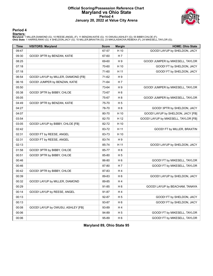### **Official Scoring/Possession Reference Chart Maryland vs Ohio State Period 4 January 20, 2022 at Value City Arena**



#### **Period 4**

<mark>Starters:</mark><br>Maryland: 1 MILLER,DIAMOND (G); 10 REESE,ANGEL (F); 11 BENZAN,KATIE (G); 15 OWUSU,ASHLEY (G); 55 BIBBY,CHLOE (F);<br>**Ohio State**: 1 HARRIS,RIKKI (G); 4 SHELDON,JACY (G); 10 MILLER,BRAXTIN (G); 23 MIKULASIKOVA,REB

| <b>Time</b> | <b>VISITORS: Maryland</b>           | <b>Score</b> | <b>Margin</b>  | <b>HOME: Ohio State</b>              |
|-------------|-------------------------------------|--------------|----------------|--------------------------------------|
| 09:47       |                                     | 67-57        | H 10           | GOOD! LAYUP by SHELDON, JACY         |
| 09:30       | GOOD! 3PTR by BENZAN, KATIE         | 67-60        | H 7            |                                      |
| 08:25       |                                     | 69-60        | H 9            | GOOD! JUMPER by MIKESELL, TAYLOR     |
| 07:18       |                                     | 70-60        | H 10           | GOOD! FT by SHELDON, JACY            |
| 07:18       |                                     | 71-60        | H 11           | GOOD! FT by SHELDON, JACY            |
| 06:54       | GOOD! LAYUP by MILLER, DIAMOND [FB] | 71-62        | H 9            |                                      |
| 06:16       | GOOD! JUMPER by BENZAN, KATIE       | 71-64        | H 7            |                                      |
| 05:50       |                                     | 73-64        | H <sub>9</sub> | GOOD! JUMPER by MIKESELL, TAYLOR     |
| 05:38       | GOOD! 3PTR by BIBBY, CHLOE          | 73-67        | H <sub>6</sub> |                                      |
| 05:05       |                                     | 75-67        | H <sub>8</sub> | GOOD! JUMPER by MIKESELL, TAYLOR     |
| 04:49       | GOOD! 3PTR by BENZAN, KATIE         | 75-70        | H <sub>5</sub> |                                      |
| 04:27       |                                     | 78-70        | H <sub>8</sub> | GOOD! 3PTR by SHELDON, JACY          |
| 04:07       |                                     | 80-70        | H 10           | GOOD! LAYUP by SHELDON, JACY [FB]    |
| 03:54       |                                     | 82-70        | H 12           | GOOD! LAYUP by MIKESELL, TAYLOR [FB] |
| 03:05       | GOOD! LAYUP by BIBBY, CHLOE [FB]    | 82-72        | H 10           |                                      |
| 02:42       |                                     | 83-72        | H 11           | GOOD! FT by MILLER, BRAXTIN          |
| 02:31       | GOOD! FT by REESE, ANGEL            | 83-73        | H 10           |                                      |
| 02:31       | GOOD! FT by REESE, ANGEL            | 83-74        | H <sub>9</sub> |                                      |
| 02:13       |                                     | 85-74        | H 11           | GOOD! LAYUP by SHELDON, JACY         |
| 01:58       | GOOD! 3PTR by BIBBY, CHLOE          | 85-77        | H <sub>8</sub> |                                      |
| 00:51       | GOOD! 3PTR by BIBBY, CHLOE          | 85-80        | H <sub>5</sub> |                                      |
| 00:46       |                                     | 86-80        | H <sub>6</sub> | GOOD! FT by MIKESELL, TAYLOR         |
| 00:46       |                                     | 87-80        | H 7            | GOOD! FT by MIKESELL, TAYLOR         |
| 00:42       | GOOD! 3PTR by BIBBY, CHLOE          | 87-83        | H 4            |                                      |
| 00:39       |                                     | 89-83        | H <sub>6</sub> | GOOD! LAYUP by SHELDON, JACY         |
| 00:32       | GOOD! LAYUP by MILLER, DIAMOND      | 89-85        | H 4            |                                      |
| 00:29       |                                     | 91-85        | H <sub>6</sub> | GOOD! LAYUP by BEACHAM, TANAYA       |
| 00:14       | GOOD! LAYUP by REESE, ANGEL         | 91-87        | H 4            |                                      |
| 00:13       |                                     | 92-87        | H <sub>5</sub> | GOOD! FT by SHELDON, JACY            |
| 00:13       |                                     | 93-87        | H <sub>6</sub> | GOOD! FT by SHELDON, JACY            |
| 00:08       | GOOD! LAYUP by OWUSU, ASHLEY [FB]   | 93-89        | H4             |                                      |
| 00:06       |                                     | 94-89        | H <sub>5</sub> | GOOD! FT by MIKESELL, TAYLOR         |
| 00:06       |                                     | 95-89        | H <sub>6</sub> | GOOD! FT by MIKESELL, TAYLOR         |

**Maryland 89, Ohio State 95**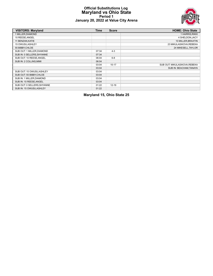### **Official Substitutions Log Maryland vs Ohio State Period 1 January 20, 2022 at Value City Arena**



| <b>VISITORS: Maryland</b>   | Time  | <b>Score</b> | <b>HOME: Ohio State</b>      |
|-----------------------------|-------|--------------|------------------------------|
| 1 MILLER, DIAMOND           |       |              | 1 HARRIS, RIKKI              |
| 10 REESE, ANGEL             |       |              | 4 SHELDON.JACY               |
| 11 BENZAN, KATIE            |       |              | 10 MILLER, BRAXTIN           |
| 15 OWUSU, ASHLEY            |       |              | 23 MIKULASIKOVA, REBEKA      |
| 55 BIBBY, CHLOE             |       |              | 24 MIKESELL, TAYLOR          |
| SUB OUT: 1 MILLER, DIAMOND  | 07:34 | $4 - 3$      |                              |
| SUB IN: 0 SELLERS, SHYANNE  | 07:34 |              |                              |
| SUB OUT: 10 REESE, ANGEL    | 06:04 | $6 - 8$      |                              |
| SUB IN: 2 COLLINS, MIMI     | 06:04 |              |                              |
|                             | 03:04 | $10 - 17$    | SUB OUT: MIKULASIKOVA.REBEKA |
|                             | 03:04 |              | SUB IN: BEACHAM, TANAYA      |
| SUB OUT: 15 OWUSU, ASHLEY   | 03:04 |              |                              |
| SUB OUT: 55 BIBBY, CHLOE    | 03:04 |              |                              |
| SUB IN: 1 MILLER, DIAMOND   | 03:04 |              |                              |
| SUB IN: 10 REESE, ANGEL     | 03:04 |              |                              |
| SUB OUT: 0 SELLERS, SHYANNE | 01:22 | $12 - 19$    |                              |
| SUB IN: 15 OWUSU, ASHLEY    | 01:22 |              |                              |

# **Maryland 15, Ohio State 25**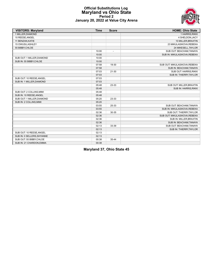

#### **Official Substitutions Log Maryland vs Ohio State Period 2 January 20, 2022 at Value City Arena**

| <b>VISITORS: Maryland</b>  | <b>Time</b> | <b>Score</b>             | <b>HOME: Ohio State</b>       |
|----------------------------|-------------|--------------------------|-------------------------------|
| 1 MILLER, DIAMOND          |             |                          | 1 HARRIS, RIKKI               |
| 10 REESE.ANGEL             |             |                          | 4 SHELDON, JACY               |
| 11 BENZAN, KATIE           |             |                          | 10 MILLER, BRAXTIN            |
| 15 OWUSU, ASHLEY           |             |                          | 23 MIKULASIKOVA, REBEKA       |
| 55 BIBBY, CHLOE            |             |                          | 24 MIKESELL, TAYLOR           |
|                            | 10:00       | $\overline{\phantom{a}}$ | SUB OUT: BEACHAM, TANAYA      |
|                            | 10:00       |                          | SUB IN: MIKULASIKOVA, REBEKA  |
| SUB OUT: 1 MILLER, DIAMOND | 10:00       |                          |                               |
| SUB IN: 55 BIBBY, CHLOE    | 10:00       |                          |                               |
|                            | 07:58       | 19-30                    | SUB OUT: MIKULASIKOVA, REBEKA |
|                            | 07:58       |                          | SUB IN: BEACHAM, TANAYA       |
|                            | 07:03       | $21 - 30$                | SUB OUT: HARRIS, RIKKI        |
|                            | 07:03       |                          | SUB IN: THIERRY, TAYLOR       |
| SUB OUT: 10 REESE, ANGEL   | 07:03       |                          |                               |
| SUB IN: 1 MILLER, DIAMOND  | 07:03       |                          |                               |
|                            | 05:48       | 23-33                    | SUB OUT: MILLER, BRAXTIN      |
|                            | 05:48       |                          | SUB IN: HARRIS, RIKKI         |
| SUB OUT: 2 COLLINS, MIMI   | 05:48       |                          |                               |
| SUB IN: 10 REESE, ANGEL    | 05:48       |                          |                               |
| SUB OUT: 1 MILLER, DIAMOND | 05:20       | 23-33                    |                               |
| SUB IN: 2 COLLINS, MIMI    | 05:20       |                          |                               |
|                            | 03:55       | 25-33                    | SUB OUT: BEACHAM, TANAYA      |
|                            | 03:55       |                          | SUB IN: MIKULASIKOVA, REBEKA  |
|                            | 02:36       | 30-35                    | SUB OUT: THIERRY, TAYLOR      |
|                            | 02:36       |                          | SUB OUT: MIKULASIKOVA, REBEKA |
|                            | 02:36       |                          | SUB IN: MILLER, BRAXTIN       |
|                            | 02:36       |                          | SUB IN: BEACHAM, TANAYA       |
|                            | 02:13       | 33-39                    | SUB OUT: BEACHAM, TANAYA      |
|                            | 02:13       |                          | SUB IN: THIERRY, TAYLOR       |
| SUB OUT: 10 REESE, ANGEL   | 02:13       |                          |                               |
| SUB IN: 0 SELLERS, SHYANNE | 02:13       |                          |                               |
| SUB OUT: 55 BIBBY, CHLOE   | 00:38       | 35-44                    |                               |
| SUB IN: 21 CHARDON, EMMA   | 00:38       |                          |                               |

**Maryland 37, Ohio State 45**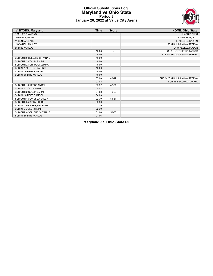#### **Official Substitutions Log Maryland vs Ohio State Period 3 January 20, 2022 at Value City Arena**



| <b>VISITORS: Maryland</b>   | <b>Time</b> | <b>Score</b>             | <b>HOME: Ohio State</b>       |
|-----------------------------|-------------|--------------------------|-------------------------------|
| 1 MILLER, DIAMOND           |             |                          | 1 HARRIS, RIKKI               |
| 10 REESE, ANGEL             |             |                          | 4 SHELDON.JACY                |
| 11 BENZAN, KATIE            |             |                          | 10 MILLER, BRAXTIN            |
| 15 OWUSU, ASHLEY            |             |                          | 23 MIKULASIKOVA, REBEKA       |
| 55 BIBBY, CHLOE             |             |                          | 24 MIKESELL, TAYLOR           |
|                             | 10:00       | $\overline{\phantom{a}}$ | SUB OUT: THIERRY, TAYLOR      |
|                             | 10:00       |                          | SUB IN: MIKULASIKOVA, REBEKA  |
| SUB OUT: 0 SELLERS, SHYANNE | 10:00       |                          |                               |
| SUB OUT: 2 COLLINS, MIMI    | 10:00       |                          |                               |
| SUB OUT: 21 CHARDON, EMMA   | 10:00       |                          |                               |
| SUB IN: 1 MILLER, DIAMOND   | 10:00       |                          |                               |
| SUB IN: 10 REESE, ANGEL     | 10:00       |                          |                               |
| SUB IN: 55 BIBBY, CHLOE     | 10:00       |                          |                               |
|                             | 07:08       | 43-49                    | SUB OUT: MIKULASIKOVA, REBEKA |
|                             | 07:08       |                          | SUB IN: BEACHAM, TANAYA       |
| SUB OUT: 10 REESE, ANGEL    | 05:52       | 47-51                    |                               |
| SUB IN: 2 COLLINS, MIMI     | 05:52       |                          |                               |
| SUB OUT: 2 COLLINS, MIMI    | 04:03       | 49-56                    |                               |
| SUB IN: 10 REESE, ANGEL     | 04:03       |                          |                               |
| SUB OUT: 15 OWUSU, ASHLEY   | 02:39       | $51 - 61$                |                               |
| SUB OUT: 55 BIBBY.CHLOE     | 02:39       |                          |                               |
| SUB IN: 0 SELLERS. SHYANNE  | 02:39       |                          |                               |
| SUB IN: 2 COLLINS, MIMI     | 02:39       |                          |                               |
| SUB OUT: 0 SELLERS, SHYANNE | 01:06       | 53-63                    |                               |
| SUB IN: 55 BIBBY, CHLOE     | 01:06       |                          |                               |

**Maryland 57, Ohio State 65**